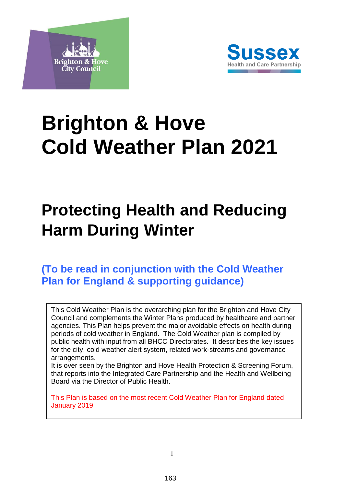



# **Brighton & Hove Cold Weather Plan 2021**

## **Protecting Health and Reducing Harm During Winter**

## **(To be read in conjunction with the Cold Weather Plan for England & supporting guidance)**

This Cold Weather Plan is the overarching plan for the Brighton and Hove City Council and complements the Winter Plans produced by healthcare and partner agencies. This Plan helps prevent the major avoidable effects on health during periods of cold weather in England. The Cold Weather plan is compiled by public health with input from all BHCC Directorates. It describes the key issues for the city, cold weather alert system, related work-streams and governance arrangements.

It is over seen by the Brighton and Hove Health Protection & Screening Forum, that reports into the Integrated Care Partnership and the Health and Wellbeing Board via the Director of Public Health.

This Plan is based on the most recent Cold Weather Plan for England dated January 2019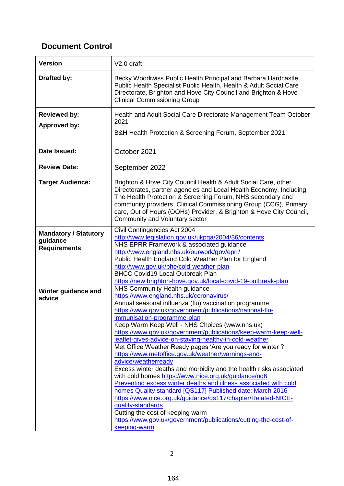## **Document Control**

| <b>Version</b>                                                  | V <sub>2.0</sub> draft                                                                                                                                                                                                                                                                                                                                                                                                                                                                                                                                                                                                                                                                                                                                                                                                                                                                                                                                                                                                            |
|-----------------------------------------------------------------|-----------------------------------------------------------------------------------------------------------------------------------------------------------------------------------------------------------------------------------------------------------------------------------------------------------------------------------------------------------------------------------------------------------------------------------------------------------------------------------------------------------------------------------------------------------------------------------------------------------------------------------------------------------------------------------------------------------------------------------------------------------------------------------------------------------------------------------------------------------------------------------------------------------------------------------------------------------------------------------------------------------------------------------|
| Drafted by:                                                     | Becky Woodiwiss Public Health Principal and Barbara Hardcastle<br>Public Health Specialist Public Health, Health & Adult Social Care<br>Directorate, Brighton and Hove City Council and Brighton & Hove<br><b>Clinical Commissioning Group</b>                                                                                                                                                                                                                                                                                                                                                                                                                                                                                                                                                                                                                                                                                                                                                                                    |
| <b>Reviewed by:</b><br><b>Approved by:</b>                      | Health and Adult Social Care Directorate Management Team October<br>2021<br>B&H Health Protection & Screening Forum, September 2021                                                                                                                                                                                                                                                                                                                                                                                                                                                                                                                                                                                                                                                                                                                                                                                                                                                                                               |
| Date Issued:                                                    | October 2021                                                                                                                                                                                                                                                                                                                                                                                                                                                                                                                                                                                                                                                                                                                                                                                                                                                                                                                                                                                                                      |
| <b>Review Date:</b>                                             | September 2022                                                                                                                                                                                                                                                                                                                                                                                                                                                                                                                                                                                                                                                                                                                                                                                                                                                                                                                                                                                                                    |
| <b>Target Audience:</b>                                         | Brighton & Hove City Council Health & Adult Social Care, other<br>Directorates, partner agencies and Local Health Economy. Including<br>The Health Protection & Screening Forum, NHS secondary and<br>community providers, Clinical Commissioning Group (CCG), Primary<br>care, Out of Hours (OOHs) Provider, & Brighton & Hove City Council,<br>Community and Voluntary sector                                                                                                                                                                                                                                                                                                                                                                                                                                                                                                                                                                                                                                                   |
| <b>Mandatory / Statutory</b><br>guidance<br><b>Requirements</b> | Civil Contingencies Act 2004<br>http://www.legislation.gov.uk/ukpga/2004/36/contents<br>NHS EPRR Framework & associated guidance<br>http://www.england.nhs.uk/ourwork/gov/eprr/<br>Public Health England Cold Weather Plan for England<br>http://www.gov.uk/phe/cold-weather-plan<br><b>BHCC Covid19 Local Outbreak Plan</b><br>https://new.brighton-hove.gov.uk/local-covid-19-outbreak-plan                                                                                                                                                                                                                                                                                                                                                                                                                                                                                                                                                                                                                                     |
| Winter guidance and<br>advice                                   | NHS Community Health guidance<br>https://www.england.nhs.uk/coronavirus/<br>Annual seasonal influenza (flu) vaccination programme<br>https://www.gov.uk/government/publications/national-flu-<br>immunisation-programme-plan<br>Keep Warm Keep Well - NHS Choices (www.nhs.uk)<br>https://www.gov.uk/government/publications/keep-warm-keep-well-<br>leaflet-gives-advice-on-staying-healthy-in-cold-weather<br>Met Office Weather Ready pages 'Are you ready for winter?<br>https://www.metoffice.gov.uk/weather/warnings-and-<br>advice/weatherready<br>Excess winter deaths and morbidity and the health risks associated<br>with cold homes https://www.nice.org.uk/guidance/ng6<br>Preventing excess winter deaths and illness associated with cold<br>homes Quality standard [QS117] Published date: March 2016<br>https://www.nice.org.uk/guidance/qs117/chapter/Related-NICE-<br>quality-standards<br>Cutting the cost of keeping warm<br>https://www.gov.uk/government/publications/cutting-the-cost-of-<br>keeping-warm |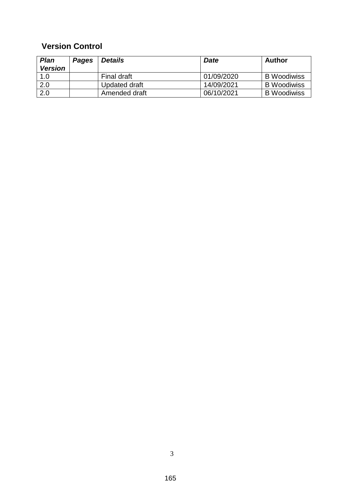## **Version Control**

| <b>Plan</b>    | <b>Pages</b> | <b>Details</b> | <b>Date</b> | <b>Author</b>      |
|----------------|--------------|----------------|-------------|--------------------|
| <b>Version</b> |              |                |             |                    |
| 1.0            |              | Final draft    | 01/09/2020  | <b>B</b> Woodiwiss |
| 2.0            |              | Updated draft  | 14/09/2021  | <b>B</b> Woodiwiss |
| 2.0            |              | Amended draft  | 06/10/2021  | <b>B</b> Woodiwiss |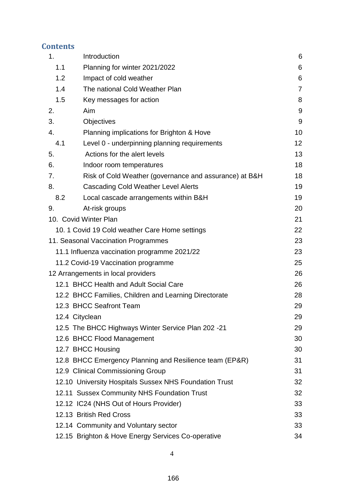## **Contents**

| 1.  | Introduction                                            | 6              |
|-----|---------------------------------------------------------|----------------|
| 1.1 | Planning for winter 2021/2022                           | 6              |
| 1.2 | Impact of cold weather                                  | 6              |
| 1.4 | The national Cold Weather Plan                          | $\overline{7}$ |
| 1.5 | Key messages for action                                 | 8              |
| 2.  | Aim                                                     | 9              |
| 3.  | Objectives                                              | 9              |
| 4.  | Planning implications for Brighton & Hove               | 10             |
| 4.1 | Level 0 - underpinning planning requirements            | 12             |
| 5.  | Actions for the alert levels                            | 13             |
| 6.  | Indoor room temperatures                                | 18             |
| 7.  | Risk of Cold Weather (governance and assurance) at B&H  | 18             |
| 8.  | <b>Cascading Cold Weather Level Alerts</b>              | 19             |
| 8.2 | Local cascade arrangements within B&H                   | 19             |
| 9.  | At-risk groups                                          | 20             |
|     | 10. Covid Winter Plan                                   | 21             |
|     | 10. 1 Covid 19 Cold weather Care Home settings          | 22             |
|     | 11. Seasonal Vaccination Programmes                     | 23             |
|     | 11.1 Influenza vaccination programme 2021/22            | 23             |
|     | 11.2 Covid-19 Vaccination programme                     | 25             |
|     | 12 Arrangements in local providers                      | 26             |
|     | 12.1 BHCC Health and Adult Social Care                  | 26             |
|     | 12.2 BHCC Families, Children and Learning Directorate   | 28             |
|     | 12.3 BHCC Seafront Team                                 | 29             |
|     | 12.4 Cityclean                                          | 29             |
|     | 12.5 The BHCC Highways Winter Service Plan 202 -21      | 29             |
|     | 12.6 BHCC Flood Management                              | 30             |
|     | 12.7 BHCC Housing                                       | 30             |
|     | 12.8 BHCC Emergency Planning and Resilience team (EP&R) | 31             |
|     | 12.9 Clinical Commissioning Group                       | 31             |
|     | 12.10 University Hospitals Sussex NHS Foundation Trust  | 32             |
|     | 12.11 Sussex Community NHS Foundation Trust             | 32             |
|     | 12.12 IC24 (NHS Out of Hours Provider)                  | 33             |
|     | 12.13 British Red Cross                                 | 33             |
|     | 12.14 Community and Voluntary sector                    | 33             |
|     | 12.15 Brighton & Hove Energy Services Co-operative      | 34             |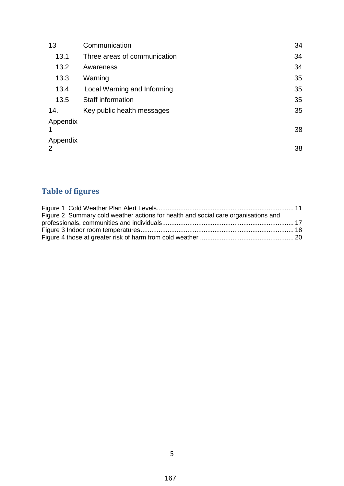| 13            | Communication                | 34 |
|---------------|------------------------------|----|
| 13.1          | Three areas of communication | 34 |
| 13.2          | Awareness                    | 34 |
| 13.3          | Warning                      | 35 |
| 13.4          | Local Warning and Informing  | 35 |
| 13.5          | Staff information            | 35 |
| 14.           | Key public health messages   | 35 |
| Appendix<br>1 |                              | 38 |
| Appendix<br>2 |                              | 38 |

## **Table of figures**

| Figure 2 Summary cold weather actions for health and social care organisations and |  |
|------------------------------------------------------------------------------------|--|
|                                                                                    |  |
|                                                                                    |  |
|                                                                                    |  |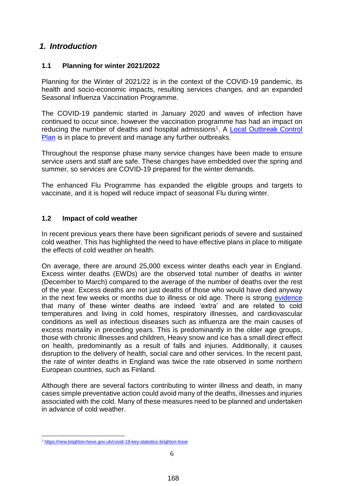#### <span id="page-5-0"></span>*1. Introduction*

#### <span id="page-5-1"></span>**1.1 Planning for winter 2021/2022**

Planning for the Winter of 2021/22 is in the context of the COVID-19 pandemic, its health and socio-economic impacts, resulting services changes, and an expanded Seasonal Influenza Vaccination Programme.

The COVID-19 pandemic started in January 2020 and waves of infection have continued to occur since, however the vaccination programme has had an impact on reducing the number of deaths and hospital admissions<sup>1</sup>. A Local Outbreak Control [Plan](https://new.brighton-hove.gov.uk/local-covid-19-outbreak-plan) is in place to prevent and manage any further outbreaks.

Throughout the response phase many service changes have been made to ensure service users and staff are safe. These changes have embedded over the spring and summer, so services are COVID-19 prepared for the winter demands.

The enhanced Flu Programme has expanded the eligible groups and targets to vaccinate, and it is hoped will reduce impact of seasonal Flu during winter.

#### <span id="page-5-2"></span>**1.2 Impact of cold weather**

In recent previous years there have been significant periods of severe and sustained cold weather. This has highlighted the need to have effective plans in place to mitigate the effects of cold weather on health.

On average, there are around 25,000 excess winter deaths each year in England. Excess winter deaths (EWDs) are the observed total number of deaths in winter (December to March) compared to the average of the number of deaths over the rest of the year. Excess deaths are not just deaths of those who would have died anyway in the next few weeks or months due to illness or old age. There is strong [evidence](https://www.gov.uk/government/publications/health-risks-of-cold-homes-data-sources) that many of these winter deaths are indeed 'extra' and are related to cold temperatures and living in cold homes, respiratory illnesses, and cardiovascular conditions as well as infectious diseases such as influenza are the main causes of excess mortality in preceding years. This is predominantly in the older age groups, those with chronic illnesses and children, Heavy snow and ice has a small direct effect on health, predominantly as a result of falls and injuries. Additionally, it causes disruption to the delivery of health, social care and other services. In the recent past, the rate of winter deaths in England was twice the rate observed in some northern European countries, such as Finland.

Although there are several factors contributing to winter illness and death, in many cases simple preventative action could avoid many of the deaths, illnesses and injuries associated with the cold. Many of these measures need to be planned and undertaken in advance of cold weather.

<u>.</u>

<sup>1</sup> <https://new.brighton-hove.gov.uk/covid-19-key-statistics-brighton-hove>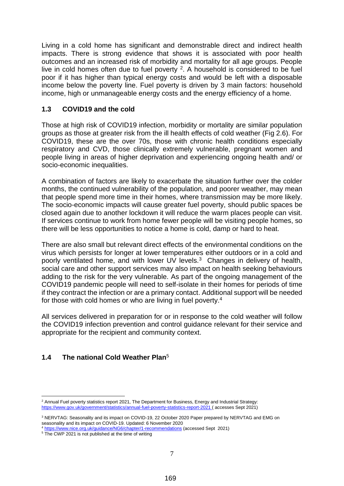Living in a cold home has significant and demonstrable direct and indirect health impacts. There is strong evidence that shows it is associated with poor health outcomes and an increased risk of morbidity and mortality for all age groups. People live in cold homes often due to fuel poverty  $2$ . A household is considered to be fuel poor if it has higher than typical energy costs and would be left with a disposable income below the poverty line. Fuel poverty is driven by 3 main factors: household income, high or unmanageable energy costs and the energy efficiency of a home.

#### **1.3 COVID19 and the cold**

Those at high risk of COVID19 infection, morbidity or mortality are similar population groups as those at greater risk from the ill health effects of cold weather (Fig 2.6). For COVID19, these are the over 70s, those with chronic health conditions especially respiratory and CVD, those clinically extremely vulnerable, pregnant women and people living in areas of higher deprivation and experiencing ongoing health and/ or socio-economic inequalities.

A combination of factors are likely to exacerbate the situation further over the colder months, the continued vulnerability of the population, and poorer weather, may mean that people spend more time in their homes, where transmission may be more likely. The socio-economic impacts will cause greater fuel poverty, should public spaces be closed again due to another lockdown it will reduce the warm places people can visit. If services continue to work from home fewer people will be visiting people homes, so there will be less opportunities to notice a home is cold, damp or hard to heat.

There are also small but relevant direct effects of the environmental conditions on the virus which persists for longer at lower temperatures either outdoors or in a cold and poorly ventilated home, and with lower UV levels.<sup>3</sup> Changes in delivery of health, social care and other support services may also impact on health seeking behaviours adding to the risk for the very vulnerable. As part of the ongoing management of the COVID19 pandemic people will need to self-isolate in their homes for periods of time if they contract the infection or are a primary contact. Additional support will be needed for those with cold homes or who are living in fuel poverty.<sup>4</sup>

All services delivered in preparation for or in response to the cold weather will follow the COVID19 infection prevention and control guidance relevant for their service and appropriate for the recipient and community context.

#### <span id="page-6-0"></span>**1.4 The national Cold Weather Plan**<sup>5</sup>

<u>.</u>

<sup>&</sup>lt;sup>2</sup> Annual Fuel poverty statistics report 2021, The Department for Business, Energy and Industrial Strategy: <https://www.gov.uk/government/statistics/annual-fuel-poverty-statistics-report-2021> (accesses Sept 2021)

<sup>&</sup>lt;sup>3</sup> NERVTAG: Seasonality and its impact on COVID-19, 22 October 2020 Paper prepared by NERVTAG and EMG on seasonality and its impact on COVID-19. Updated: 6 November 2020

<https://www.nice.org.uk/guidance/NG6/chapter/1-recommendations> (accessed Sept 2021)

<sup>&</sup>lt;sup>5</sup> The CWP 2021 is not published at the time of writing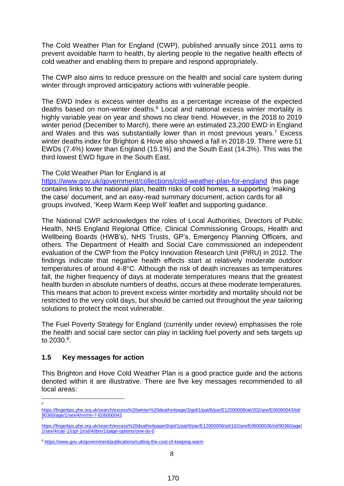The Cold Weather Plan for England (CWP), published annually since 2011 aims to prevent avoidable harm to health, by alerting people to the negative health effects of cold weather and enabling them to prepare and respond appropriately.

The CWP also aims to reduce pressure on the health and social care system during winter through improved anticipatory actions with vulnerable people.

The EWD Index is excess winter deaths as a percentage increase of the expected deaths based on non-winter deaths. <sup>6</sup> Local and national excess winter mortality is highly variable year on year and shows no clear trend. However, in the 2018 to 2019 winter period (December to March), there were an estimated 23,200 EWD in England and Wales and this was substantially lower than in most previous years.<sup>7</sup> Excess winter deaths index for Brighton & Hove also showed a fall in 2018-19. There were 51 EWDs (7.4%) lower than England (15.1%) and the South East (14.3%). This was the third lowest EWD figure in the South East.

#### The Cold Weather Plan for England is at

<https://www.gov.uk/government/collections/cold-weather-plan-for-england>this page contains links to the national plan, health risks of cold homes, a supporting 'making the case' document, and an easy-read summary document, action cards for all groups involved, 'Keep Warm Keep Well' leaflet and supporting guidance.

The National CWP acknowledges the roles of Local Authorities, Directors of Public Health, NHS England Regional Office, Clinical Commissioning Groups, Health and Wellbeing Boards (HWB's), NHS Trusts, GP's, Emergency Planning Officers, and others. The Department of Health and Social Care commissioned an independent evaluation of the CWP from the Policy Innovation Research Unit (PIRU) in 2012. The findings indicate that negative health effects start at relatively moderate outdoor temperatures of around 4-8°C. Although the risk of death increases as temperatures fall, the higher frequency of days at moderate temperatures means that the greatest health burden in absolute numbers of deaths, occurs at these moderate temperatures. This means that action to prevent excess winter morbidity and mortality should not be restricted to the very cold days, but should be carried out throughout the year tailoring solutions to protect the most vulnerable.

The Fuel Poverty Strategy for England (currently under review) emphasises the role the health and social care sector can play in tackling fuel poverty and sets targets up to 2030.<sup>8</sup>.

#### <span id="page-7-0"></span>**1.5 Key messages for action**

<u>.</u> 6

This Brighton and Hove Cold Weather Plan is a good practice guide and the actions denoted within it are illustrative. There are five key messages recommended to all local areas:

[https://fingertips.phe.org.uk/search/excess%20winter%20deaths#page/3/gid/1/pat/6/par/E12000008/ati/202/are/E06000043/iid/](https://fingertips.phe.org.uk/search/excess%20winter%20deaths#page/3/gid/1/pat/6/par/E12000008/ati/202/are/E06000043/iid/90360/age/1/sex/4/nn/nn-7-E06000043) [90360/age/1/sex/4/nn/nn-7-E06000043](https://fingertips.phe.org.uk/search/excess%20winter%20deaths#page/3/gid/1/pat/6/par/E12000008/ati/202/are/E06000043/iid/90360/age/1/sex/4/nn/nn-7-E06000043) 7

[https://fingertips.phe.org.uk/search/excess%20deaths#page/0/gid/1/pat/6/par/E12000008/ati/102/are/E06000036/iid/90360/age/](https://fingertips.phe.org.uk/search/excess%20deaths#page/0/gid/1/pat/6/par/E12000008/ati/102/are/E06000036/iid/90360/age/1/sex/4/cat/-1/ctp/-1/cid/4/tbm/1/page-options/ovw-do-0) [1/sex/4/cat/-1/ctp/-1/cid/4/tbm/1/page-options/ovw-do-0](https://fingertips.phe.org.uk/search/excess%20deaths#page/0/gid/1/pat/6/par/E12000008/ati/102/are/E06000036/iid/90360/age/1/sex/4/cat/-1/ctp/-1/cid/4/tbm/1/page-options/ovw-do-0)

<sup>8</sup> <https://www.gov.uk/government/publications/cutting-the-cost-of-keeping-warm>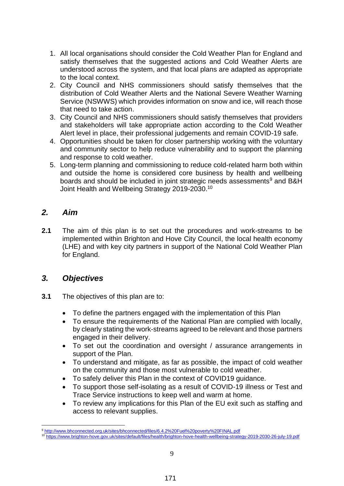- 1. All local organisations should consider the Cold Weather Plan for England and satisfy themselves that the suggested actions and Cold Weather Alerts are understood across the system, and that local plans are adapted as appropriate to the local context.
- 2. City Council and NHS commissioners should satisfy themselves that the distribution of Cold Weather Alerts and the National Severe Weather Warning Service (NSWWS) which provides information on snow and ice, will reach those that need to take action.
- 3. City Council and NHS commissioners should satisfy themselves that providers and stakeholders will take appropriate action according to the Cold Weather Alert level in place, their professional judgements and remain COVID-19 safe.
- 4. Opportunities should be taken for closer partnership working with the voluntary and community sector to help reduce vulnerability and to support the planning and response to cold weather.
- 5. Long-term planning and commissioning to reduce cold-related harm both within and outside the home is considered core business by health and wellbeing boards and should be included in joint strategic needs assessments<sup>9</sup> and B&H Joint Health and Wellbeing Strategy 2019-2030.<sup>10</sup>

## <span id="page-8-0"></span>*2. Aim*

**2.1** The aim of this plan is to set out the procedures and work-streams to be implemented within Brighton and Hove City Council, the local health economy (LHE) and with key city partners in support of the National Cold Weather Plan for England.

#### <span id="page-8-1"></span>*3. Objectives*

- **3.1** The objectives of this plan are to:
	- To define the partners engaged with the implementation of this Plan
	- To ensure the requirements of the National Plan are complied with locally, by clearly stating the work-streams agreed to be relevant and those partners engaged in their delivery.
	- To set out the coordination and oversight / assurance arrangements in support of the Plan.
	- To understand and mitigate, as far as possible, the impact of cold weather on the community and those most vulnerable to cold weather.
	- To safely deliver this Plan in the context of COVID19 guidance.
	- To support those self-isolating as a result of COVID-19 illness or Test and Trace Service instructions to keep well and warm at home.
	- To review any implications for this Plan of the EU exit such as staffing and access to relevant supplies.

<sup>1</sup> <sup>9</sup> <http://www.bhconnected.org.uk/sites/bhconnected/files/6.4.2%20Fuel%20poverty%20FINAL.pdf>

<sup>10</sup> <https://www.brighton-hove.gov.uk/sites/default/files/health/brighton-hove-health-wellbeing-strategy-2019-2030-26-july-19.pdf>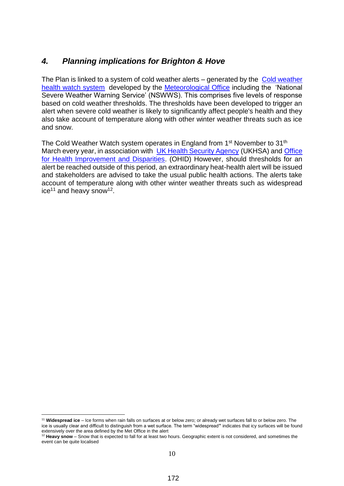## <span id="page-9-0"></span>*4. Planning implications for Brighton & Hove*

The Plan is linked to a system of cold weather alerts – generated by the [Cold weather](https://www.metoffice.gov.uk/weather/warnings-and-advice/seasonal-advice/cold-weather-alerts)  [health watch system](https://www.metoffice.gov.uk/weather/warnings-and-advice/seasonal-advice/cold-weather-alerts) developed by the [Meteorological Office](https://www.metoffice.gov.uk/) including the 'National Severe Weather Warning Service' (NSWWS). This comprises five levels of response based on cold weather thresholds. The thresholds have been developed to trigger an alert when severe cold weather is likely to significantly affect people's health and they also take account of temperature along with other winter weather threats such as ice and snow.

The Cold Weather Watch system operates in England from 1<sup>st</sup> November to 31<sup>th</sup> March every year, in association with [UK Health Security Agency](https://www.gov.uk/government/organisations/uk-health-security-agency) (UKHSA) and Office [for Health Improvement and Disparities.](https://www.gov.uk/government/organisations/office-for-health-improvement-and-disparities) (OHID) However, should thresholds for an alert be reached outside of this period, an extraordinary heat-health alert will be issued and stakeholders are advised to take the usual public health actions. The alerts take account of temperature along with other winter weather threats such as widespread  $ice^{11}$  and heavy snow<sup>12</sup>.

1

<sup>11</sup> **Widespread ice** – Ice forms when rain falls on surfaces at or below zero; or already wet surfaces fall to or below zero. The ice is usually clear and difficult to distinguish from a wet surface. The term "widespread**"** indicates that icy surfaces will be found extensively over the area defined by the Met Office in the alert

<sup>&</sup>lt;sup>12</sup> Heavy snow – Snow that is expected to fall for at least two hours. Geographic extent is not considered, and sometimes the event can be quite localised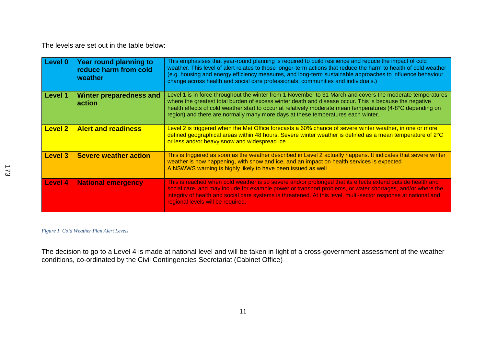The levels are set out in the table below:

| Level 0        | Year round planning to<br>reduce harm from cold<br>weather | This emphasises that year-round planning is required to build resilience and reduce the impact of cold<br>weather. This level of alert relates to those longer-term actions that reduce the harm to health of cold weather<br>(e.g. housing and energy efficiency measures, and long-term sustainable approaches to influence behaviour<br>change across health and social care professionals, communities and individuals.) |
|----------------|------------------------------------------------------------|------------------------------------------------------------------------------------------------------------------------------------------------------------------------------------------------------------------------------------------------------------------------------------------------------------------------------------------------------------------------------------------------------------------------------|
| Level 1        | <b>Winter preparedness and</b><br>action                   | Level 1 is in force throughout the winter from 1 November to 31 March and covers the moderate temperatures<br>where the greatest total burden of excess winter death and disease occur. This is because the negative<br>health effects of cold weather start to occur at relatively moderate mean temperatures (4-8°C depending on<br>region) and there are normally many more days at these temperatures each winter.       |
| <b>Level 2</b> | <b>Alert and readiness</b>                                 | Level 2 is triggered when the Met Office forecasts a 60% chance of severe winter weather, in one or more<br>defined geographical areas within 48 hours. Severe winter weather is defined as a mean temperature of 2°C<br>or less and/or heavy snow and widespread ice                                                                                                                                                        |
| <b>Level 3</b> | <b>Severe weather action</b>                               | This is triggered as soon as the weather described in Level 2 actually happens. It indicates that severe winter<br>weather is now happening, with snow and ice, and an impact on health services is expected<br>A NSWWS warning is highly likely to have been issued as well                                                                                                                                                 |
| <b>Level 4</b> | <b>National emergency</b>                                  | This is reached when cold weather is so severe and/or prolonged that its effects extend outside health and<br>social care, and may include for example power or transport problems, or water shortages, and/or where the<br>integrity of health and social care systems is threatened. At this level, multi-sector response at national and<br>regional levels will be required.                                             |

#### *Figure 1 Cold Weather Plan Alert Levels*

<span id="page-10-0"></span>The decision to go to a Level 4 is made at national level and will be taken in light of a cross-government assessment of the weather conditions, co-ordinated by the Civil Contingencies Secretariat (Cabinet Office)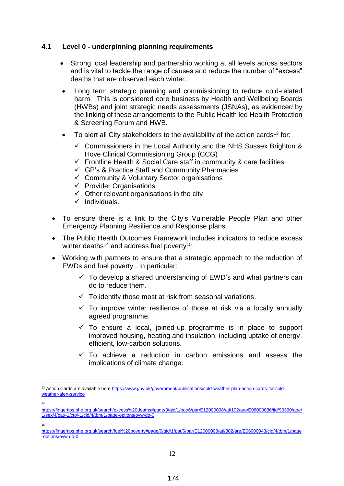#### <span id="page-11-0"></span>**4.1 Level 0 - underpinning planning requirements**

- Strong local leadership and partnership working at all levels across sectors and is vital to tackle the range of causes and reduce the number of "excess" deaths that are observed each winter.
- Long term strategic planning and commissioning to reduce cold-related harm. This is considered core business by Health and Wellbeing Boards (HWBs) and joint strategic needs assessments (JSNAs), as evidenced by the linking of these arrangements to the Public Health led Health Protection & Screening Forum and HWB.
- $\bullet$  To alert all City stakeholders to the availability of the action cards<sup>13</sup> for:
	- $\checkmark$  Commissioners in the Local Authority and the NHS Sussex Brighton & Hove Clinical Commissioning Group (CCG)
	- $\checkmark$  Frontline Health & Social Care staff in community & care facilities
	- $\checkmark$  GP's & Practice Staff and Community Pharmacies
	- $\checkmark$  Community & Voluntary Sector organisations
	- $\checkmark$  Provider Organisations
	- $\checkmark$  Other relevant organisations in the city
	- $\checkmark$  Individuals.
- To ensure there is a link to the City's Vulnerable People Plan and other Emergency Planning Resilience and Response plans.
- The Public Health Outcomes Framework includes indicators to reduce excess winter deaths<sup>14</sup> and address fuel poverty<sup>15</sup>
- Working with partners to ensure that a strategic approach to the reduction of EWDs and fuel poverty . In particular:
	- $\checkmark$  To develop a shared understanding of EWD's and what partners can do to reduce them.
	- $\checkmark$  To identify those most at risk from seasonal variations.
	- $\checkmark$  To improve winter resilience of those at risk via a locally annually agreed programme.
	- $\checkmark$  To ensure a local, joined-up programme is in place to support improved housing, heating and insulation, including uptake of energyefficient, low-carbon solutions.
	- $\checkmark$  To achieve a reduction in carbon emissions and assess the implications of climate change.

14

1

15

<sup>13</sup> Action Cards are available her[e https://www.gov.uk/government/publications/cold-weather-plan-action-cards-for-cold](https://www.gov.uk/government/publications/cold-weather-plan-action-cards-for-cold-weather-alert-service)[weather-alert-service](https://www.gov.uk/government/publications/cold-weather-plan-action-cards-for-cold-weather-alert-service)

[https://fingertips.phe.org.uk/search/excess%20deaths#page/0/gid/1/pat/6/par/E12000008/ati/102/are/E06000036/iid/90360/age/](https://fingertips.phe.org.uk/search/excess%20deaths#page/0/gid/1/pat/6/par/E12000008/ati/102/are/E06000036/iid/90360/age/1/sex/4/cat/-1/ctp/-1/cid/4/tbm/1/page-options/ovw-do-0) [1/sex/4/cat/-1/ctp/-1/cid/4/tbm/1/page-options/ovw-do-0](https://fingertips.phe.org.uk/search/excess%20deaths#page/0/gid/1/pat/6/par/E12000008/ati/102/are/E06000036/iid/90360/age/1/sex/4/cat/-1/ctp/-1/cid/4/tbm/1/page-options/ovw-do-0)

[https://fingertips.phe.org.uk/search/fuel%20poverty#page/0/gid/1/pat/6/par/E12000008/ati/302/are/E06000043/cid/4/tbm/1/page](https://fingertips.phe.org.uk/search/fuel%20poverty#page/0/gid/1/pat/6/par/E12000008/ati/302/are/E06000043/cid/4/tbm/1/page-options/ovw-do-0) [-options/ovw-do-0](https://fingertips.phe.org.uk/search/fuel%20poverty#page/0/gid/1/pat/6/par/E12000008/ati/302/are/E06000043/cid/4/tbm/1/page-options/ovw-do-0)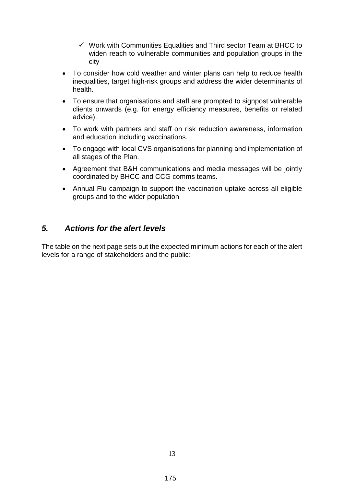- $\checkmark$  Work with Communities Equalities and Third sector Team at BHCC to widen reach to vulnerable communities and population groups in the city
- To consider how cold weather and winter plans can help to reduce health inequalities, target high-risk groups and address the wider determinants of health.
- To ensure that organisations and staff are prompted to signpost vulnerable clients onwards (e.g. for energy efficiency measures, benefits or related advice).
- To work with partners and staff on risk reduction awareness, information and education including vaccinations.
- To engage with local CVS organisations for planning and implementation of all stages of the Plan.
- Agreement that B&H communications and media messages will be jointly coordinated by BHCC and CCG comms teams.
- Annual Flu campaign to support the vaccination uptake across all eligible groups and to the wider population

#### <span id="page-12-0"></span>*5. Actions for the alert levels*

The table on the next page sets out the expected minimum actions for each of the alert levels for a range of stakeholders and the public: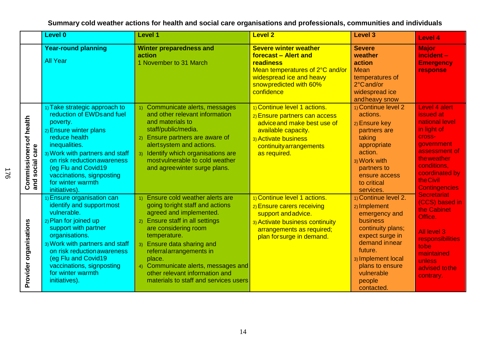|                                           | <b>Level 0</b>                                                                                                                                                                                                                                                                                       | Level 1                                                                                                                                                                                                                                                                                                                                                          | <b>Level 2</b>                                                                                                                                                                         | <b>Level 3</b>                                                                                                                                                                                                        | Level 4                                                                                                                                                                                                 |
|-------------------------------------------|------------------------------------------------------------------------------------------------------------------------------------------------------------------------------------------------------------------------------------------------------------------------------------------------------|------------------------------------------------------------------------------------------------------------------------------------------------------------------------------------------------------------------------------------------------------------------------------------------------------------------------------------------------------------------|----------------------------------------------------------------------------------------------------------------------------------------------------------------------------------------|-----------------------------------------------------------------------------------------------------------------------------------------------------------------------------------------------------------------------|---------------------------------------------------------------------------------------------------------------------------------------------------------------------------------------------------------|
|                                           | <b>Year-round planning</b><br><b>All Year</b>                                                                                                                                                                                                                                                        | <b>Winter preparedness and</b><br>action<br>1 November to 31 March                                                                                                                                                                                                                                                                                               | <b>Severe winter weather</b><br>forecast - Alert and<br>readiness<br>Mean temperatures of 2°C and/or<br>widespread ice and heavy<br>snow predicted with 60%<br>confidence              | <b>Severe</b><br>weather<br>action<br>Mean<br>temperatures of<br>2°C and/or<br>widespread ice<br>andheavy snow                                                                                                        | <b>Major</b><br>incident -<br><b>Emergency</b><br>response                                                                                                                                              |
| Commissionersof health<br>and social care | 1) Take strategic approach to<br>reduction of EWDs and fuel<br>poverty.<br>2) Ensure winter plans<br>reduce health<br>inequalities.<br>3) Work with partners and staff<br>on risk reduction awareness<br>(eg Flu and Covid19<br>vaccinations, signposting<br>for winter warmth<br>initiatives).      | 1) Communicate alerts, messages<br>and other relevant information<br>and materials to<br>staff/public/media.<br>2) Ensure partners are aware of<br>alertsystem and actions.<br>3) Identify which organisations are<br>most vulnerable to cold weather<br>and agreewinter surge plans.                                                                            | 1) Continue level 1 actions.<br>2) Ensure partners can access<br>advice and make best use of<br>available capacity.<br>3) Activate business<br>continuity arrangements<br>as required. | 1) Continue level 2<br>actions.<br>2) Ensure key<br>partners are<br>taking<br>appropriate<br>action.<br>3) Work with<br>partners to<br>ensure access<br>to critical<br>services.                                      | Level 4 alert<br>issued at<br>national level<br>in light of<br><b>Cross-</b><br>government<br>assessment of<br><b>the weather</b><br>conditions,<br>coordinated by<br>the Civil<br><b>Contingencies</b> |
| Provider organisations                    | 1) Ensure organisation can<br>identify and supportmost<br>vulnerable.<br>2) Plan for joined up<br>support with partner<br>organisations.<br>3) Work with partners and staff<br>on risk reduction awareness<br>(eg Flu and Covid19<br>vaccinations, signposting<br>for winter warmth<br>initiatives). | 1) Ensure cold weather alerts are<br>going to right staff and actions<br>agreed and implemented.<br>2) Ensure staff in all settings<br>are considering room<br>temperature.<br>3) Ensure data sharing and<br>referralarrangements in<br>place.<br>4) Communicate alerts, messages and<br>other relevant information and<br>materials to staff and services users | 1) Continue level 1 actions.<br>2) Ensure carers receiving<br>support and advice.<br>3) Activate business continuity<br>arrangements as required;<br>plan forsurge in demand.          | 1) Continue level 2.<br>2) Implement<br>emergency and<br>business<br>continuity plans;<br>expect surge in<br>demand in near<br>future.<br>3) Implement local<br>plans to ensure<br>vulnerable<br>people<br>contacted. | <b>Secretariat</b><br>(CCS) based in<br>the Cabinet<br>Office.<br>All level 3<br>responsibilities<br>tobe<br>maintained<br>unless<br>advised to the<br>contrary.                                        |

**Summary cold weather actions for health and social care organisations and professionals, communities and individuals**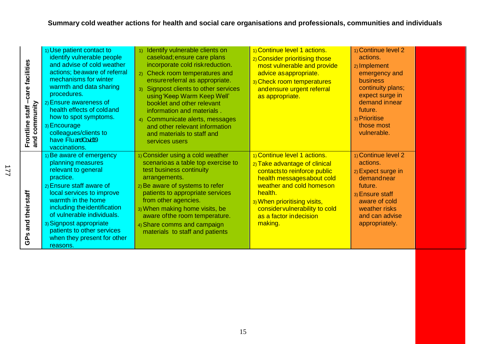| care facilities<br>Frontline staff- | 1) Use patient contact to<br>identify vulnerable people<br>and advise of cold weather<br>actions; beaware of referral<br>mechanisms for winter<br>warmth and data sharing<br>procedures.<br>2) Ensure awareness of<br>health effects of cold and<br>how to spot symptoms.<br>3) Encourage<br>colleagues/clients to<br>have FluardCoudl9<br>vaccinations. | Identify vulnerable clients on<br>caseload; ensure care plans<br>incorporate cold risk reduction.<br>2) Check room temperatures and<br>ensure referral as appropriate.<br>Signpost clients to other services<br>3)<br>using Keep Warm Keep Well'<br>booklet and other relevant<br>information and materials.<br>4) Communicate alerts, messages<br>and other relevant information<br>and materials to staff and<br>services users | 1) Continue level 1 actions.<br>2) Consider prioritising those<br>most vulnerable and provide<br>advice as appropriate.<br>3) Check room temperatures<br>andensure urgent referral<br>as appropriate.                                                                     | 1) Continue level 2<br>actions.<br>2) Implement<br>emergency and<br><b>business</b><br>continuity plans;<br>expect surge in<br>demand innear<br>future.<br>3) Prioritise<br>those most<br>vulnerable. |  |
|-------------------------------------|----------------------------------------------------------------------------------------------------------------------------------------------------------------------------------------------------------------------------------------------------------------------------------------------------------------------------------------------------------|-----------------------------------------------------------------------------------------------------------------------------------------------------------------------------------------------------------------------------------------------------------------------------------------------------------------------------------------------------------------------------------------------------------------------------------|---------------------------------------------------------------------------------------------------------------------------------------------------------------------------------------------------------------------------------------------------------------------------|-------------------------------------------------------------------------------------------------------------------------------------------------------------------------------------------------------|--|
| GPs and theirstaff                  | 1) Be aware of emergency<br>planning measures<br>relevant to general<br>practice.<br>2) Ensure staff aware of<br>local services to improve<br>warmth in the home<br>including the identification<br>of vulnerable individuals.<br>3) Signpost appropriate<br>patients to other services<br>when they present for other<br>reasons.                       | 1) Consider using a cold weather<br>scenario as a table top exercise to<br>test business continuity<br>arrangements.<br>2) Be aware of systems to refer<br>patients to appropriate services<br>from other agencies.<br>3) When making home visits, be<br>aware of the room temperature.<br>4) Share comms and campaign<br>materials to staff and patients                                                                         | 1) Continue level 1 actions.<br>2) Take advantage of clinical<br>contacts to reinforce public<br>health messages about cold<br>weather and cold homeson<br>health.<br>3) When prioritising visits,<br>consider vulnerability to cold<br>as a factor indecision<br>making. | 1) Continue level 2<br>actions.<br>2) Expect surge in<br>demandnear<br>future.<br>3) Ensure staff<br>aware of cold<br>weather risks<br>and can advise<br>appropriately.                               |  |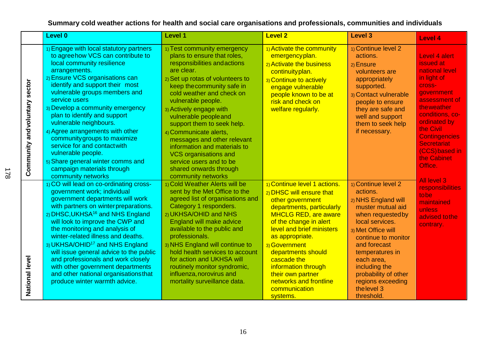## **Summary cold weather actions for health and social care organisations and professionals, communities and individuals**

|                                     | Level 0                                                                                                                                                                                                                                                                                                                                                                                                                                                                                                                                                              | <b>Level 1</b>                                                                                                                                                                                                                                                                                                                                                                                                                                                                                                      | <b>Level 2</b>                                                                                                                                                                                                                                                                                                                                                              | Level 3                                                                                                                                                                                                                                                                                                      | Level 4                                                                                                                                                                                                                                                             |
|-------------------------------------|----------------------------------------------------------------------------------------------------------------------------------------------------------------------------------------------------------------------------------------------------------------------------------------------------------------------------------------------------------------------------------------------------------------------------------------------------------------------------------------------------------------------------------------------------------------------|---------------------------------------------------------------------------------------------------------------------------------------------------------------------------------------------------------------------------------------------------------------------------------------------------------------------------------------------------------------------------------------------------------------------------------------------------------------------------------------------------------------------|-----------------------------------------------------------------------------------------------------------------------------------------------------------------------------------------------------------------------------------------------------------------------------------------------------------------------------------------------------------------------------|--------------------------------------------------------------------------------------------------------------------------------------------------------------------------------------------------------------------------------------------------------------------------------------------------------------|---------------------------------------------------------------------------------------------------------------------------------------------------------------------------------------------------------------------------------------------------------------------|
| sector<br>andvoluntary<br>Community | 1) Engage with local statutory partners<br>to agreehow VCS can contribute to<br>local community resilience<br>arrangements.<br>2) Ensure VCS organisations can<br>identify and support their most<br>vulnerable groups members and<br>service users<br>3) Develop a community emergency<br>plan to identify and support<br>vulnerable neighbours.<br>4) Agree arrangements with other<br>community groups to maximize<br>service for and contact with<br>vulnerable people.<br>5) Share general winter comms and<br>campaign materials through<br>community networks | 1) Test community emergency<br>plans to ensure that roles,<br>responsibilities and actions<br>are clear.<br>2) Set up rotas of volunteers to<br>keep the community safe in<br>cold weather and check on<br>vulnerable people.<br>3) Actively engage with<br>vulnerable people and<br>support them to seek help.<br>4) Communicate alerts,<br>messages and other relevant<br>information and materials to<br><b>VCS organisations and</b><br>service users and to be<br>shared onwards through<br>community networks | 1) Activate the community<br>emergencyplan.<br>2) Activate the business<br>continuityplan.<br>3) Continue to actively<br>engage vulnerable<br>people known to be at<br>risk and check on<br>welfare regularly.                                                                                                                                                              | 1) Continue level 2<br>actions.<br>2) Ensure<br>volunteers are<br>appropriately<br>supported.<br>3) Contact vulnerable<br>people to ensure<br>they are safe and<br>well and support<br>them to seek help<br>if necessary.                                                                                    | Level 4 alert<br>issued at<br>national level<br>in light of<br><b>Cross-</b><br>government<br>assessment of<br>theweather<br>conditions, co-<br>ordinated by<br>the Civil<br><b>Contingencies</b><br><b>Secretariat</b><br>(CCS) based in<br>the Cabinet<br>Office. |
| National level                      | 1) CO will lead on co-ordinating cross-<br>government work; individual<br>government departments will work<br>with partners on winterpreparations.<br>2) DHSC, UKHSA <sup>16</sup> and NHS England<br>will look to improve the CWP and<br>the monitoring and analysis of<br>winter-related illness and deaths.<br>3) UKHSA/OHID <sup>17</sup> and NHS England<br>will issue general advice to the public<br>and professionals and work closely<br>with other government departments<br>and other national organisations that<br>produce winter warmth advice.        | 1) Cold Weather Alerts will be<br>sent by the Met Office to the<br>agreed list of organisations and<br>Category 1 responders.<br>2) UKHSA/OHID and NHS<br>England will make advice<br>available to the public and<br>professionals.<br>3) NHS England will continue to<br>hold health services to account<br>for action and UKHSA will<br>routinely monitor syndromic,<br>influenza, norovirus and<br>mortality surveillance data.                                                                                  | 1) Continue level 1 actions.<br>2) DHSC will ensure that<br>other government<br>departments, particularly<br><b>MHCLG RED, are aware</b><br>of the change in alert<br>level and brief ministers<br>as appropriate.<br>3) Government<br>departments should<br>cascade the<br>information through<br>their own partner<br>networks and frontline<br>communication<br>systems. | 1) Continue level 2<br>actions.<br>2) NHS England will<br>muster mutual aid<br>when requested by<br>local services.<br>3) Met Office will<br>continue to monitor<br>and forecast<br>temperatures in<br>each area,<br>including the<br>probability of other<br>regions exceeding<br>the level 3<br>threshold. | All level 3<br>responsibilities<br>tobe<br>maintained<br>unless<br>advised to the<br>contrary.                                                                                                                                                                      |

16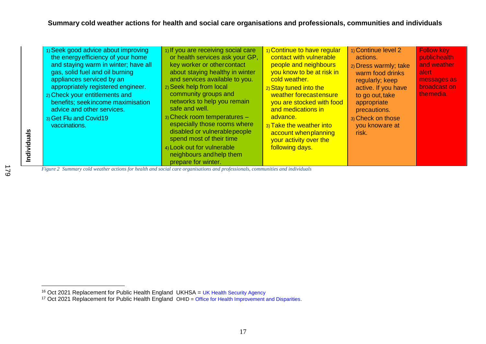| 1) Seek good advice about improving<br>the energy efficiency of your home<br>and staying warm in winter; have all<br>gas, solid fuel and oil burning<br>appliances serviced by an<br>appropriately registered engineer.<br>2) Check your entitlements and<br>benefits; seek income maximisation<br>advice and other services.<br>3) Get Flu and Covid19<br>vaccinations.<br>Figure 2. Summary cold weather actions for health and social care organisations and professionals, communities and individuals | 1) If you are receiving social care<br>or health services ask your GP,<br>key worker or other contact<br>about staying healthy in winter<br>and services available to you.<br>2) Seek help from local<br>community groups and<br>networks to help you remain<br>safe and well.<br>3) Check room temperatures -<br>especially those rooms where<br>disabled or vulnerable people<br>spend most of their time<br>4) Look out for vulnerable<br>neighbours and help them<br>prepare for winter. | 1) Continue to have regular<br>contact with vulnerable<br>people and neighbours<br>you know to be at risk in<br>cold weather.<br>2) Stay tuned into the<br>weather forecastensure<br>you are stocked with food<br>and medications in<br>advance.<br>3) Take the weather into<br>account when planning<br>your activity over the<br>following days. | 1) Continue level 2<br>actions.<br>2) Dress warmly; take<br>warm food drinks<br>regularly; keep<br>active. If you have<br>to go out, take<br>appropriate<br>precautions.<br>3) Check on those<br>you knoware at<br>risk. | <b>Follow key</b><br>publichealth<br>and weather<br>alert<br>messages as<br>broadcast on<br>themedia. |  |
|------------------------------------------------------------------------------------------------------------------------------------------------------------------------------------------------------------------------------------------------------------------------------------------------------------------------------------------------------------------------------------------------------------------------------------------------------------------------------------------------------------|----------------------------------------------------------------------------------------------------------------------------------------------------------------------------------------------------------------------------------------------------------------------------------------------------------------------------------------------------------------------------------------------------------------------------------------------------------------------------------------------|----------------------------------------------------------------------------------------------------------------------------------------------------------------------------------------------------------------------------------------------------------------------------------------------------------------------------------------------------|--------------------------------------------------------------------------------------------------------------------------------------------------------------------------------------------------------------------------|-------------------------------------------------------------------------------------------------------|--|
|------------------------------------------------------------------------------------------------------------------------------------------------------------------------------------------------------------------------------------------------------------------------------------------------------------------------------------------------------------------------------------------------------------------------------------------------------------------------------------------------------------|----------------------------------------------------------------------------------------------------------------------------------------------------------------------------------------------------------------------------------------------------------------------------------------------------------------------------------------------------------------------------------------------------------------------------------------------------------------------------------------------|----------------------------------------------------------------------------------------------------------------------------------------------------------------------------------------------------------------------------------------------------------------------------------------------------------------------------------------------------|--------------------------------------------------------------------------------------------------------------------------------------------------------------------------------------------------------------------------|-------------------------------------------------------------------------------------------------------|--|

*Figure 2 Summary cold weather actions for health and social care organisations and professionals, communities and individuals*

**Individuals**

 $\overline{a}$ 

<sup>179</sup>

<sup>&</sup>lt;sup>16</sup> Oct 2021 Replacement for Public Health England UKHSA = UK Health Security Agency

<span id="page-16-0"></span><sup>&</sup>lt;sup>17</sup> Oct 2021 Replacement for Public Health England OHID = Office for Health Improvement and Disparities.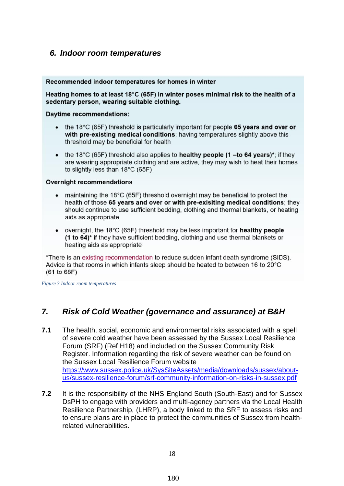#### <span id="page-17-0"></span>*6. Indoor room temperatures*

#### Recommended indoor temperatures for homes in winter

Heating homes to at least 18°C (65F) in winter poses minimal risk to the health of a sedentary person, wearing suitable clothing.

**Daytime recommendations:** 

- the 18°C (65F) threshold is particularly important for people 65 years and over or with pre-existing medical conditions: having temperatures slightly above this threshold may be beneficial for health
- the 18°C (65F) threshold also applies to **healthy people (1-to 64 years)**\*; if they are wearing appropriate clothing and are active, they may wish to heat their homes to slightly less than  $18^{\circ}$ C (65F)

#### **Overnight recommendations**

- $\bullet$  maintaining the 18°C (65F) threshold overnight may be beneficial to protect the health of those 65 years and over or with pre-exisiting medical conditions; they should continue to use sufficient bedding, clothing and thermal blankets, or heating aids as appropriate
- overnight, the 18 $\degree$ C (65F) threshold may be less important for **healthy people** (1 to 64)\* if they have sufficient bedding, clothing and use thermal blankets or heating aids as appropriate

\*There is an existing recommendation to reduce sudden infant death syndrome (SIDS). Advice is that rooms in which infants sleep should be heated to between 16 to 20°C  $(61 to 68F)$ 

<span id="page-17-2"></span>*Figure 3 Indoor room temperatures*

## <span id="page-17-1"></span>*7. Risk of Cold Weather (governance and assurance) at B&H*

- **7.1** The health, social, economic and environmental risks associated with a spell of severe cold weather have been assessed by the Sussex Local Resilience Forum (SRF) (Ref H18) and included on the Sussex Community Risk Register. Information regarding the risk of severe weather can be found on the Sussex Local Resilience Forum website [https://www.sussex.police.uk/SysSiteAssets/media/downloads/sussex/about](https://www.sussex.police.uk/SysSiteAssets/media/downloads/sussex/about-us/sussex-resilience-forum/srf-community-information-on-risks-in-sussex.pdf)[us/sussex-resilience-forum/srf-community-information-on-risks-in-sussex.pdf](https://www.sussex.police.uk/SysSiteAssets/media/downloads/sussex/about-us/sussex-resilience-forum/srf-community-information-on-risks-in-sussex.pdf)
- **7.2** It is the responsibility of the NHS England South (South-East) and for Sussex DsPH to engage with providers and multi-agency partners via the Local Health Resilience Partnership, (LHRP), a body linked to the SRF to assess risks and to ensure plans are in place to protect the communities of Sussex from healthrelated vulnerabilities.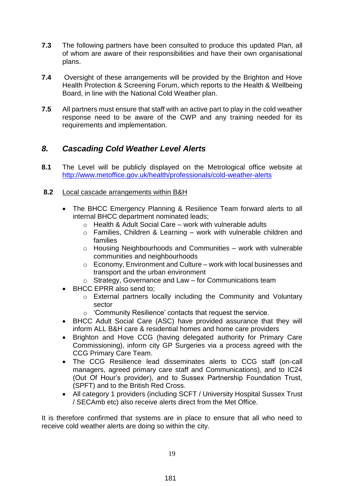- **7.3** The following partners have been consulted to produce this updated Plan, all of whom are aware of their responsibilities and have their own organisational plans.
- **7.4** Oversight of these arrangements will be provided by the Brighton and Hove Health Protection & Screening Forum, which reports to the Health & Wellbeing Board, in line with the National Cold Weather plan.
- **7.5** All partners must ensure that staff with an active part to play in the cold weather response need to be aware of the CWP and any training needed for its requirements and implementation.

## <span id="page-18-0"></span>*8. Cascading Cold Weather Level Alerts*

- **8.1** The Level will be publicly displayed on the Metrological office website at <http://www.metoffice.gov.uk/health/professionals/cold-weather-alerts>
- <span id="page-18-1"></span>**8.2** Local cascade arrangements within B&H
	- The BHCC Emergency Planning & Resilience Team forward alerts to all internal BHCC department nominated leads;
		- o Health & Adult Social Care work with vulnerable adults
		- o Families, Children & Learning work with vulnerable children and families
		- $\circ$  Housing Neighbourhoods and Communities work with vulnerable communities and neighbourhoods
		- $\circ$  Economy, Environment and Culture work with local businesses and transport and the urban environment
		- o Strategy, Governance and Law for Communications team
	- BHCC EPRR also send to;
		- o External partners locally including the Community and Voluntary sector
		- o 'Community Resilience' contacts that request the service.
	- BHCC Adult Social Care (ASC) have provided assurance that they will inform ALL B&H care & residential homes and home care providers
	- Brighton and Hove CCG (having delegated authority for Primary Care Commissioning), inform city GP Surgeries via a process agreed with the CCG Primary Care Team.
	- The CCG Resilience lead disseminates alerts to CCG staff (on-call managers, agreed primary care staff and Communications), and to IC24 (Out Of Hour's provider), and to Sussex Partnership Foundation Trust, (SPFT) and to the British Red Cross.
	- All category 1 providers (including SCFT / University Hospital Sussex Trust / SECAmb etc) also receive alerts direct from the Met Office.

It is therefore confirmed that systems are in place to ensure that all who need to receive cold weather alerts are doing so within the city.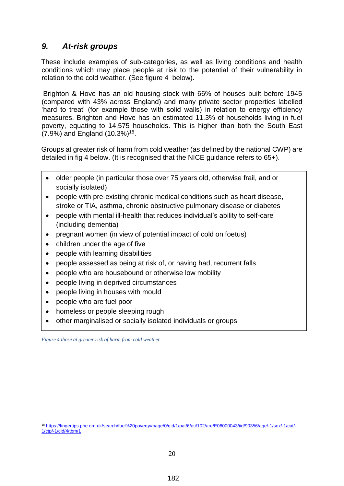## <span id="page-19-0"></span>*9. At-risk groups*

These include examples of sub-categories, as well as living conditions and health conditions which may place people at risk to the potential of their vulnerability in relation to the cold weather. (See figure 4 below).

Brighton & Hove has an old housing stock with 66% of houses built before 1945 (compared with 43% across England) and many private sector properties labelled 'hard to treat' (for example those with solid walls) in relation to energy efficiency measures. Brighton and Hove has an estimated 11.3% of households living in fuel poverty, equating to 14,575 households. This is higher than both the South East (7.9%) and England (10.3%)<sup>18</sup>.

Groups at greater risk of harm from cold weather (as defined by the national CWP) are detailed in fig 4 below. (It is recognised that the NICE guidance refers to 65+).

- older people (in particular those over 75 years old, otherwise frail, and or socially isolated)
- people with pre-existing chronic medical conditions such as heart disease, stroke or TIA, asthma, chronic obstructive pulmonary disease or diabetes
- people with mental ill-health that reduces individual's ability to self-care (including dementia)
- pregnant women (in view of potential impact of cold on foetus)
- children under the age of five
- people with learning disabilities
- people assessed as being at risk of, or having had, recurrent falls
- people who are housebound or otherwise low mobility
- **•** people living in deprived circumstances
- people living in houses with mould
- people who are fuel poor

1

- homeless or people sleeping rough
- **COVIDED FOURTHERISHS**<br> **COVID-19 relations or groups**

<span id="page-19-1"></span>*Figure 4 those at greater risk of harm from cold weather*

<sup>18</sup> [https://fingertips.phe.org.uk/search/fuel%20poverty#page/0/gid/1/pat/6/ati/102/are/E06000043/iid/90356/age/-1/sex/-1/cat/-](https://fingertips.phe.org.uk/search/fuel%20poverty#page/0/gid/1/pat/6/ati/102/are/E06000043/iid/90356/age/-1/sex/-1/cat/-1/ctp/-1/cid/4/tbm/1) [1/ctp/-1/cid/4/tbm/1](https://fingertips.phe.org.uk/search/fuel%20poverty#page/0/gid/1/pat/6/ati/102/are/E06000043/iid/90356/age/-1/sex/-1/cat/-1/ctp/-1/cid/4/tbm/1)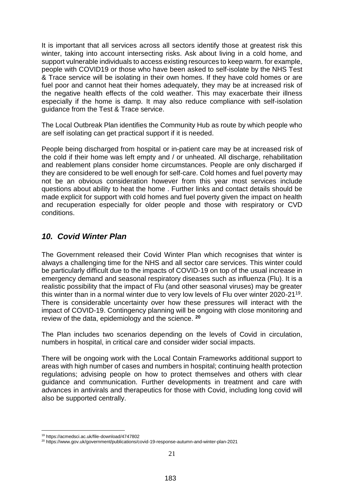It is important that all services across all sectors identify those at greatest risk this winter, taking into account intersecting risks. Ask about living in a cold home, and support vulnerable individuals to access existing resources to keep warm. for example, people with COVID19 or those who have been asked to self-isolate by the NHS Test & Trace service will be isolating in their own homes. If they have cold homes or are fuel poor and cannot heat their homes adequately, they may be at increased risk of the negative health effects of the cold weather. This may exacerbate their illness especially if the home is damp. It may also reduce compliance with self-isolation guidance from the Test & Trace service.

The Local Outbreak Plan identifies the Community Hub as route by which people who are self isolating can get practical support if it is needed.

People being discharged from hospital or in-patient care may be at increased risk of the cold if their home was left empty and / or unheated. All discharge, rehabilitation and reablement plans consider home circumstances. People are only discharged if they are considered to be well enough for self-care. Cold homes and fuel poverty may not be an obvious consideration however from this year most services include questions about ability to heat the home . Further links and contact details should be made explicit for support with cold homes and fuel poverty given the impact on health and recuperation especially for older people and those with respiratory or CVD conditions.

#### <span id="page-20-0"></span>*10. Covid Winter Plan*

The Government released their Covid Winter Plan which recognises that winter is always a challenging time for the NHS and all sector care services. This winter could be particularly difficult due to the impacts of COVID-19 on top of the usual increase in emergency demand and seasonal respiratory diseases such as influenza (Flu). It is a realistic possibility that the impact of Flu (and other seasonal viruses) may be greater this winter than in a normal winter due to very low levels of Flu over winter 2020-21<sup>19</sup>. There is considerable uncertainty over how these pressures will interact with the impact of COVID-19. Contingency planning will be ongoing with close monitoring and review of the data, epidemiology and the science. **<sup>20</sup>**

The Plan includes two scenarios depending on the levels of Covid in circulation, numbers in hospital, in critical care and consider wider social impacts.

There will be ongoing work with the Local Contain Frameworks additional support to areas with high number of cases and numbers in hospital; continuing health protection regulations; advising people on how to protect themselves and others with clear guidance and communication. Further developments in treatment and care with advances in antivirals and therapeutics for those with Covid, including long covid will also be supported centrally.

<sup>1</sup> <sup>19</sup> https://acmedsci.ac.uk/file-download/4747802

<sup>20</sup> https://www.gov.uk/government/publications/covid-19-response-autumn-and-winter-plan-2021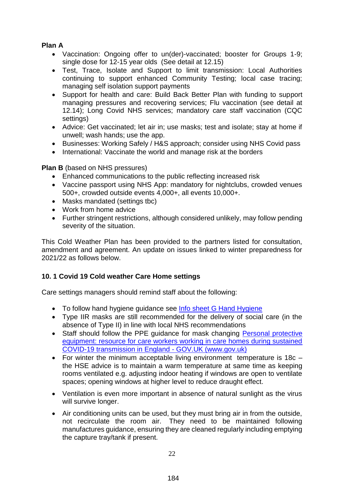#### **Plan A**

- Vaccination: Ongoing offer to un(der)-vaccinated; booster for Groups 1-9; single dose for 12-15 year olds (See detail at 12.15)
- Test, Trace, Isolate and Support to limit transmission: Local Authorities continuing to support enhanced Community Testing; local case tracing; managing self isolation support payments
- Support for health and care: Build Back Better Plan with funding to support managing pressures and recovering services; Flu vaccination (see detail at 12.14); Long Covid NHS services; mandatory care staff vaccination (CQC settings)
- Advice: Get vaccinated; let air in; use masks; test and isolate; stay at home if unwell; wash hands; use the app.
- Businesses: Working Safely / H&S approach; consider using NHS Covid pass
- International: Vaccinate the world and manage risk at the borders

**Plan B** (based on NHS pressures)

- Enhanced communications to the public reflecting increased risk
- Vaccine passport using NHS App: mandatory for nightclubs, crowded venues 500+, crowded outside events 4,000+, all events 10,000+.
- Masks mandated (settings tbc)
- Work from home advice
- Further stringent restrictions, although considered unlikely, may follow pending severity of the situation.

This Cold Weather Plan has been provided to the partners listed for consultation, amendment and agreement. An update on issues linked to winter preparedness for 2021/22 as follows below.

#### <span id="page-21-0"></span>**10. 1 Covid 19 Cold weather Care Home settings**

Care settings managers should remind staff about the following:

- To follow hand hygiene guidance see [Info sheet G Hand Hygiene](https://www.england.nhs.uk/south/wp-content/uploads/sites/6/2021/08/Information_Sheet_Hand_Hygiene_COVID-19V1.0.pdf)
- Type IIR masks are still recommended for the delivery of social care (in the absence of Type II) in line with local NHS recommendations
- Staff should follow the PPE guidance for mask changing Personal protective [equipment: resource for care workers working in care homes during sustained](https://www.gov.uk/government/publications/covid-19-how-to-work-safely-in-care-homes/personal-protective-equipment-ppe-resource-for-care-workers-working-in-care-homes-during-sustained-covid-19-transmission-in-england#other-contact-within-2-metres-of-anyone-else)  [COVID-19 transmission in England -](https://www.gov.uk/government/publications/covid-19-how-to-work-safely-in-care-homes/personal-protective-equipment-ppe-resource-for-care-workers-working-in-care-homes-during-sustained-covid-19-transmission-in-england#other-contact-within-2-metres-of-anyone-else) GOV.UK (www.gov.uk)
- For winter the minimum acceptable living environment temperature is 18c the HSE advice is to maintain a warm temperature at same time as keeping rooms ventilated e.g. adjusting indoor heating if windows are open to ventilate spaces; opening windows at higher level to reduce draught effect.
- Ventilation is even more important in absence of natural sunlight as the virus will survive longer.
- Air conditioning units can be used, but they must bring air in from the outside, not recirculate the room air. They need to be maintained following manufactures guidance, ensuring they are cleaned regularly including emptying the capture tray/tank if present.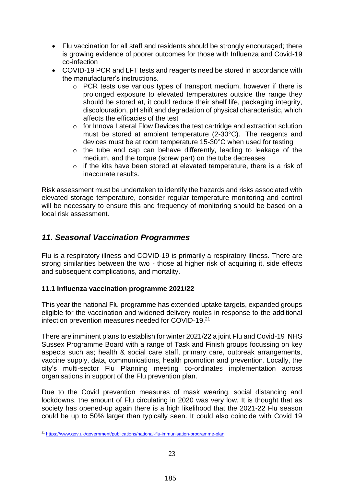- Flu vaccination for all staff and residents should be strongly encouraged; there is growing evidence of poorer outcomes for those with Influenza and Covid-19 co-infection
- COVID-19 PCR and LFT tests and reagents need be stored in accordance with the manufacturer's instructions.
	- o PCR tests use various types of transport medium, however if there is prolonged exposure to elevated temperatures outside the range they should be stored at, it could reduce their shelf life, packaging integrity, discolouration, pH shift and degradation of physical characteristic, which affects the efficacies of the test
	- o for Innova Lateral Flow Devices the test cartridge and extraction solution must be stored at ambient temperature (2-30°C). The reagents and devices must be at room temperature 15-30°C when used for testing
	- o the tube and cap can behave differently, leading to leakage of the medium, and the torque (screw part) on the tube decreases
	- o if the kits have been stored at elevated temperature, there is a risk of inaccurate results.

Risk assessment must be undertaken to identify the hazards and risks associated with elevated storage temperature, consider regular temperature monitoring and control will be necessary to ensure this and frequency of monitoring should be based on a local risk assessment.

## <span id="page-22-0"></span>*11. Seasonal Vaccination Programmes*

Flu is a respiratory illness and COVID-19 is primarily a respiratory illness. There are strong similarities between the two - those at higher risk of acquiring it, side effects and subsequent complications, and mortality.

#### <span id="page-22-1"></span>**11.1 Influenza vaccination programme 2021/22**

This year the national Flu programme has extended uptake targets, expanded groups eligible for the vaccination and widened delivery routes in response to the additional infection prevention measures needed for COVID-19.<sup>21</sup>

There are imminent plans to establish for winter 2021/22 a joint Flu and Covid-19 NHS Sussex Programme Board with a range of Task and Finish groups focussing on key aspects such as; health & social care staff, primary care, outbreak arrangements, vaccine supply, data, communications, health promotion and prevention. Locally, the city's multi-sector Flu Planning meeting co-ordinates implementation across organisations in support of the Flu prevention plan.

Due to the Covid prevention measures of mask wearing, social distancing and lockdowns, the amount of Flu circulating in 2020 was very low. It is thought that as society has opened-up again there is a high likelihood that the 2021-22 Flu season could be up to 50% larger than typically seen. It could also coincide with Covid 19

<sup>1</sup> <sup>21</sup> <https://www.gov.uk/government/publications/national-flu-immunisation-programme-plan>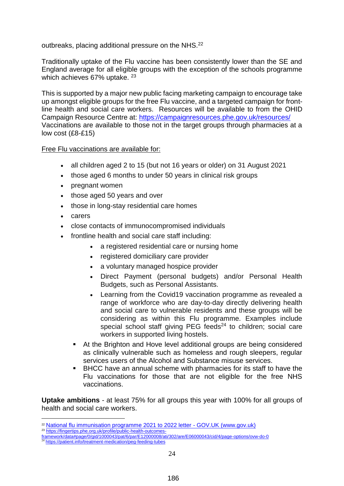#### outbreaks, placing additional pressure on the NHS.<sup>22</sup>

Traditionally uptake of the Flu vaccine has been consistently lower than the SE and England average for all eligible groups with the exception of the schools programme which achieves 67% uptake. <sup>23</sup>

This is supported by a major new public facing marketing campaign to encourage take up amongst eligible groups for the free Flu vaccine, and a targeted campaign for frontline health and social care workers. Resources will be available to from the OHID Campaign Resource Centre at:<https://campaignresources.phe.gov.uk/resources/> Vaccinations are available to those not in the target groups through pharmacies at a low cost (£8-£15)

#### Free Flu vaccinations are available for:

- all children aged 2 to 15 (but not 16 years or older) on 31 August 2021
- those aged 6 months to under 50 years in clinical risk groups
- pregnant women
- those aged 50 years and over
- those in long-stay residential care homes
- carers
- close contacts of immunocompromised individuals
- frontline health and social care staff including:
	- a registered residential care or nursing home
	- registered domiciliary care provider
	- a voluntary managed hospice provider
	- Direct Payment (personal budgets) and/or Personal Health Budgets, such as Personal Assistants.
	- Learning from the Covid19 vaccination programme as revealed a range of workforce who are day-to-day directly delivering health and social care to vulnerable residents and these groups will be considering as within this Flu programme. Examples include special school staff giving PEG feeds $24$  to children; social care workers in supported living hostels.
	- At the Brighton and Hove level additional groups are being considered as clinically vulnerable such as homeless and rough sleepers, regular services users of the Alcohol and Substance misuse services.
	- BHCC have an annual scheme with pharmacies for its staff to have the Flu vaccinations for those that are not eligible for the free NHS vaccinations.

**Uptake ambitions** - at least 75% for all groups this year with 100% for all groups of health and social care workers.

<u>.</u>

<sup>&</sup>lt;sup>22</sup> [National flu immunisation programme 2021 to 2022 letter -](https://www.gov.uk/government/publications/national-flu-immunisation-programme-plan/national-flu-immunisation-programme-2021-to-2022-letter) GOV.UK (www.gov.uk)

<sup>&</sup>lt;sup>23</sup> [https://fingertips.phe.org.uk/profile/public-health-outcomes](https://fingertips.phe.org.uk/profile/public-health-outcomes-framework/data#page/0/gid/1000043/pat/6/par/E12000008/ati/302/are/E06000043/cid/4/page-options/ovw-do-0)[framework/data#page/0/gid/1000043/pat/6/par/E12000008/ati/302/are/E06000043/cid/4/page-options/ovw-do-0](https://fingertips.phe.org.uk/profile/public-health-outcomes-framework/data#page/0/gid/1000043/pat/6/par/E12000008/ati/302/are/E06000043/cid/4/page-options/ovw-do-0)

<sup>&</sup>lt;sup>24</sup> <https://patient.info/treatment-medication/peg-feeding-tubes>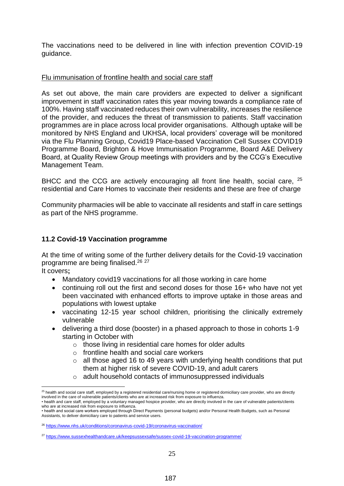The vaccinations need to be delivered in line with infection prevention COVID-19 guidance.

#### Flu immunisation of frontline health and social care staff

As set out above, the main care providers are expected to deliver a significant improvement in staff vaccination rates this year moving towards a compliance rate of 100%. Having staff vaccinated reduces their own vulnerability, increases the resilience of the provider, and reduces the threat of transmission to patients. Staff vaccination programmes are in place across local provider organisations. Although uptake will be monitored by NHS England and UKHSA, local providers' coverage will be monitored via the Flu Planning Group, Covid19 Place-based Vaccination Cell Sussex COVID19 Programme Board, Brighton & Hove Immunisation Programme, Board A&E Delivery Board, at Quality Review Group meetings with providers and by the CCG's Executive Management Team.

BHCC and the CCG are actively encouraging all front line health, social care, <sup>25</sup> residential and Care Homes to vaccinate their residents and these are free of charge

Community pharmacies will be able to vaccinate all residents and staff in care settings as part of the NHS programme.

#### <span id="page-24-0"></span>**11.2 Covid-19 Vaccination programme**

At the time of writing some of the further delivery details for the Covid-19 vaccination programme are being finalised.<sup>26</sup> <sup>27</sup>

It covers**;** 

1

- Mandatory covid19 vaccinations for all those working in care home
- continuing roll out the first and second doses for those 16+ who have not yet been vaccinated with enhanced efforts to improve uptake in those areas and populations with lowest uptake
- vaccinating 12-15 year school children, prioritising the clinically extremely vulnerable
- delivering a third dose (booster) in a phased approach to those in cohorts 1-9 starting in October with
	- o those living in residential care homes for older adults
	- $\circ$  frontline health and social care workers
	- $\circ$  all those aged 16 to 49 years with underlying health conditions that put them at higher risk of severe COVID-19, and adult carers
	- o adult household contacts of immunosuppressed individuals

<sup>&</sup>lt;sup>25</sup> health and social care staff, employed by a registered residential care/nursing home or registered domiciliary care provider, who are directly involved in the care of vulnerable patients/clients who are at increased risk from exposure to influenza.

<sup>•</sup> health and care staff, employed by a voluntary managed hospice provider, who are directly involved in the care of vulnerable patients/clients who are at increased risk from exposure to influenza.

<sup>•</sup> health and social care workers employed through Direct Payments (personal budgets) and/or Personal Health Budgets, such as Personal Assistants, to deliver domiciliary care to patients and service users.

<sup>26</sup> <https://www.nhs.uk/conditions/coronavirus-covid-19/coronavirus-vaccination/>

<sup>&</sup>lt;sup>27</sup> <https://www.sussexhealthandcare.uk/keepsussexsafe/sussex-covid-19-vaccination-programme/>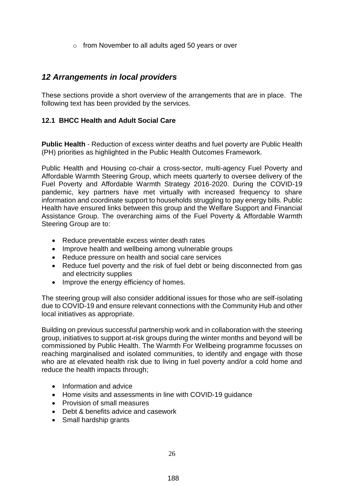o from November to all adults aged 50 years or over

#### <span id="page-25-0"></span>*12 Arrangements in local providers*

These sections provide a short overview of the arrangements that are in place. The following text has been provided by the services.

#### <span id="page-25-1"></span>**12.1 BHCC Health and Adult Social Care**

**Public Health** - Reduction of excess winter deaths and fuel poverty are Public Health (PH) priorities as highlighted in the Public Health Outcomes Framework.

Public Health and Housing co-chair a cross-sector, multi-agency Fuel Poverty and Affordable Warmth Steering Group, which meets quarterly to oversee delivery of the Fuel Poverty and Affordable Warmth Strategy 2016-2020. During the COVID-19 pandemic, key partners have met virtually with increased frequency to share information and coordinate support to households struggling to pay energy bills. Public Health have ensured links between this group and the Welfare Support and Financial Assistance Group. The overarching aims of the Fuel Poverty & Affordable Warmth Steering Group are to:

- Reduce preventable excess winter death rates
- Improve health and wellbeing among vulnerable groups
- Reduce pressure on health and social care services
- Reduce fuel poverty and the risk of fuel debt or being disconnected from gas and electricity supplies
- Improve the energy efficiency of homes.

The steering group will also consider additional issues for those who are self-isolating due to COVID-19 and ensure relevant connections with the Community Hub and other local initiatives as appropriate.

Building on previous successful partnership work and in collaboration with the steering group, initiatives to support at-risk groups during the winter months and beyond will be commissioned by Public Health. The Warmth For Wellbeing programme focusses on reaching marginalised and isolated communities, to identify and engage with those who are at elevated health risk due to living in fuel poverty and/or a cold home and reduce the health impacts through;

- Information and advice
- Home visits and assessments in line with COVID-19 quidance
- Provision of small measures
- Debt & benefits advice and casework
- Small hardship grants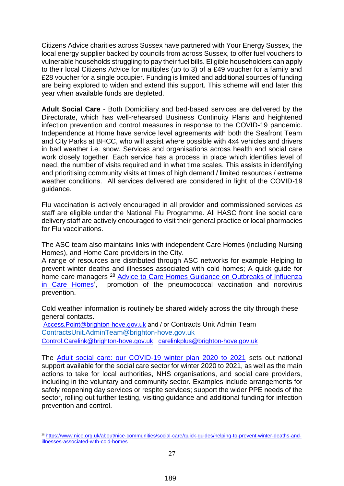Citizens Advice charities across Sussex have partnered with Your Energy Sussex, the local energy supplier backed by councils from across Sussex, to offer fuel vouchers to vulnerable households struggling to pay their fuel bills. Eligible householders can apply to their local Citizens Advice for multiples (up to 3) of a £49 voucher for a family and £28 voucher for a single occupier. Funding is limited and additional sources of funding are being explored to widen and extend this support. This scheme will end later this year when available funds are depleted.

**Adult Social Care** - Both Domiciliary and bed-based services are delivered by the Directorate, which has well-rehearsed Business Continuity Plans and heightened infection prevention and control measures in response to the COVID-19 pandemic. Independence at Home have service level agreements with both the Seafront Team and City Parks at BHCC, who will assist where possible with 4x4 vehicles and drivers in bad weather i.e. snow. Services and organisations across health and social care work closely together. Each service has a process in place which identifies level of need, the number of visits required and in what time scales. This assists in identifying and prioritising community visits at times of high demand / limited resources / extreme weather conditions. All services delivered are considered in light of the COVID-19 guidance.

Flu vaccination is actively encouraged in all provider and commissioned services as staff are eligible under the National Flu Programme. All HASC front line social care delivery staff are actively encouraged to visit their general practice or local pharmacies for Flu vaccinations.

The ASC team also maintains links with independent Care Homes (including Nursing Homes), and Home Care providers in the City.

A range of resources are distributed through ASC networks for example Helping to prevent winter deaths and illnesses associated with cold homes; A quick guide for home care managers <sup>28</sup> Advice to Care Homes Guidance on Outbreaks of Influenza [in Care Homes'](https://www.gov.uk/government/publications/acute-respiratory-disease-managing-outbreaks-in-care-homes#history), promotion of the pneumococcal vaccination and norovirus prevention.

Cold weather information is routinely be shared widely across the city through these general contacts.

[Access.Point@brighton-hove.gov.uk](mailto:Access.Point@brighton-hove.gov.uk) and / or Contracts Unit Admin Team [ContractsUnit.AdminTeam@brighton-hove.gov.uk](mailto:ContractsUnit.AdminTeam@brighton-hove.gov.uk) [Control.Carelink@brighton-hove.gov.uk](mailto:Control.Carelink@brighton-hove.gov.uk) [carelinkplus@brighton-hove.gov.uk](mailto:carelinkplus@brighton-hove.gov.uk)

1

The [Adult social care: our COVID-19 winter plan 2020 to 2021](https://www.gov.uk/government/publications/adult-social-care-coronavirus-covid-19-winter-plan-2020-to-2021/adult-social-care-our-covid-19-winter-plan-2020-to-2021) sets out national support available for the social care sector for winter 2020 to 2021, as well as the main actions to take for local authorities, NHS organisations, and social care providers, including in the voluntary and community sector. Examples include arrangements for safely reopening day services or respite services; support the wider PPE needs of the sector, rolling out further testing, visiting guidance and additional funding for infection prevention and control.

<sup>28</sup> [https://www.nice.org.uk/about/nice-communities/social-care/quick-guides/helping-to-prevent-winter-deaths-and](https://www.nice.org.uk/about/nice-communities/social-care/quick-guides/helping-to-prevent-winter-deaths-and-illnesses-associated-with-cold-homes)[illnesses-associated-with-cold-homes](https://www.nice.org.uk/about/nice-communities/social-care/quick-guides/helping-to-prevent-winter-deaths-and-illnesses-associated-with-cold-homes)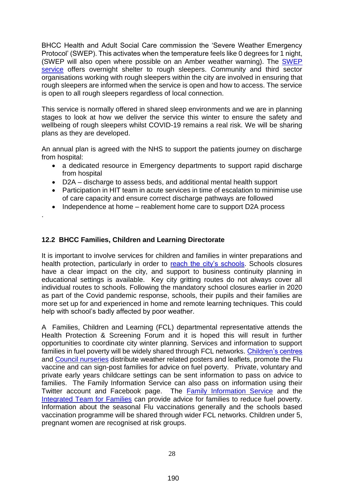BHCC Health and Adult Social Care commission the 'Severe Weather Emergency Protocol' (SWEP). This activates when the temperature feels like 0 degrees for 1 night, (SWEP will also open where possible on an Amber weather warning). The **SWEP** [service](https://www.brighton-hove.gov.uk/content/housing/homelessness-and-rough-sleepers/how-we-help-rough-sleepers-city) offers overnight shelter to rough sleepers. Community and third sector organisations working with rough sleepers within the city are involved in ensuring that rough sleepers are informed when the service is open and how to access. The service is open to all rough sleepers regardless of local connection.

This service is normally offered in shared sleep environments and we are in planning stages to look at how we deliver the service this winter to ensure the safety and wellbeing of rough sleepers whilst COVID-19 remains a real risk. We will be sharing plans as they are developed.

An annual plan is agreed with the NHS to support the patients journey on discharge from hospital:

- a dedicated resource in Emergency departments to support rapid discharge from hospital
- D2A discharge to assess beds, and additional mental health support
- Participation in HIT team in acute services in time of escalation to minimise use of care capacity and ensure correct discharge pathways are followed
- Independence at home reablement home care to support D2A process

#### <span id="page-27-0"></span>**12.2 BHCC Families, Children and Learning Directorate**

.

It is important to involve services for children and families in winter preparations and health protection, particularly in order to [reach the city's schools.](https://new.brighton-hove.gov.uk/children-and-learning/brighton-hove-schools) Schools closures have a clear impact on the city, and support to business continuity planning in educational settings is available. Key city gritting routes do not always cover all individual routes to schools. Following the mandatory school closures earlier in 2020 as part of the Covid pandemic response, schools, their pupils and their families are more set up for and experienced in home and remote learning techniques. This could help with school's badly affected by poor weather.

A Families, Children and Learning (FCL) departmental representative attends the Health Protection & Screening Forum and it is hoped this will result in further opportunities to coordinate city winter planning. Services and information to support families in fuel poverty will be widely shared through FCL networks. [Children's centres](https://www.brighton-hove.gov.uk/content/children-and-education/childrens-services/childrens-centres) and [Council nurseries](https://www.brighton-hove.gov.uk/content/children-and-education/childcare-and-family-support/childrens-centre-nurseries) distribute weather related posters and leaflets, promote the Flu vaccine and can sign-post families for advice on fuel poverty. Private, voluntary and private early years childcare settings can be sent information to pass on advice to families. The Family Information Service can also pass on information using their Twitter account and Facebook page. The [Family Information Service](mailto::%20%20familyinfo@brighton-hove.gov.uk) and the [Integrated Team for Families](mailto:ITF@brighton-hove.gov.uk) can provide advice for families to reduce fuel poverty. Information about the seasonal Flu vaccinations generally and the schools based vaccination programme will be shared through wider FCL networks. Children under 5, pregnant women are recognised at risk groups.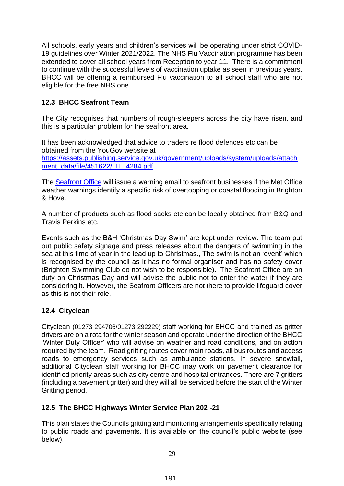All schools, early years and children's services will be operating under strict COVID-19 guidelines over Winter 2021/2022. The NHS Flu Vaccination programme has been extended to cover all school years from Reception to year 11. There is a commitment to continue with the successful levels of vaccination uptake as seen in previous years. BHCC will be offering a reimbursed Flu vaccination to all school staff who are not eligible for the free NHS one.

#### <span id="page-28-0"></span>**12.3 BHCC Seafront Team**

The City recognises that numbers of rough-sleepers across the city have risen, and this is a particular problem for the seafront area.

It has been acknowledged that advice to traders re flood defences etc can be obtained from the YouGov website at [https://assets.publishing.service.gov.uk/government/uploads/system/uploads/attach](https://assets.publishing.service.gov.uk/government/uploads/system/uploads/attachment_data/file/451622/LIT_4284.pdf) [ment\\_data/file/451622/LIT\\_4284.pdf](https://assets.publishing.service.gov.uk/government/uploads/system/uploads/attachment_data/file/451622/LIT_4284.pdf)

The [Seafront Office](mailto:seafrontoffice@brighton-hove.gov.uk) will issue a warning email to seafront businesses if the Met Office weather warnings identify a specific risk of overtopping or coastal flooding in Brighton & Hove.

A number of products such as flood sacks etc can be locally obtained from B&Q and Travis Perkins etc.

Events such as the B&H 'Christmas Day Swim' are kept under review. The team put out public safety signage and press releases about the dangers of swimming in the sea at this time of year in the lead up to Christmas., The swim is not an 'event' which is recognised by the council as it has no formal organiser and has no safety cover (Brighton Swimming Club do not wish to be responsible). The Seafront Office are on duty on Christmas Day and will advise the public not to enter the water if they are considering it. However, the Seafront Officers are not there to provide lifeguard cover as this is not their role.

#### <span id="page-28-1"></span>**12.4 Cityclean**

Cityclean (01273 294706/01273 292229) staff working for BHCC and trained as gritter drivers are on a rota for the winter season and operate under the direction of the BHCC 'Winter Duty Officer' who will advise on weather and road conditions, and on action required by the team. Road gritting routes cover main roads, all bus routes and access roads to emergency services such as ambulance stations. In severe snowfall, additional Cityclean staff working for BHCC may work on pavement clearance for identified priority areas such as city centre and hospital entrances. There are 7 gritters (including a pavement gritter) and they will all be serviced before the start of the Winter Gritting period.

#### <span id="page-28-2"></span>**12.5 The BHCC Highways Winter Service Plan 202 -21**

This plan states the Councils gritting and monitoring arrangements specifically relating to public roads and pavements. It is available on the council's public website (see below).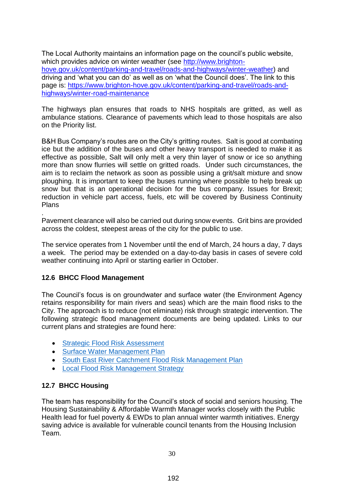The Local Authority maintains an information page on the council's public website, which provides advice on winter weather (see [http://www.brighton](http://www.brighton-hove.gov.uk/content/parking-and-travel/roads-and-highways/winter-weather)[hove.gov.uk/content/parking-and-travel/roads-and-highways/winter-weather\)](http://www.brighton-hove.gov.uk/content/parking-and-travel/roads-and-highways/winter-weather) and driving and 'what you can do' as well as on 'what the Council does'. The link to this page is: [https://www.brighton-hove.gov.uk/content/parking-and-travel/roads-and](https://www.brighton-hove.gov.uk/content/parking-and-travel/roads-and-highways/winter-road-maintenance)[highways/winter-road-maintenance](https://www.brighton-hove.gov.uk/content/parking-and-travel/roads-and-highways/winter-road-maintenance)

The highways plan ensures that roads to NHS hospitals are gritted, as well as ambulance stations. Clearance of pavements which lead to those hospitals are also on the Priority list.

B&H Bus Company's routes are on the City's gritting routes. Salt is good at combating ice but the addition of the buses and other heavy transport is needed to make it as effective as possible, Salt will only melt a very thin layer of snow or ice so anything more than snow flurries will settle on gritted roads. Under such circumstances, the aim is to reclaim the network as soon as possible using a grit/salt mixture and snow ploughing. It is important to keep the buses running where possible to help break up snow but that is an operational decision for the bus company. Issues for Brexit; reduction in vehicle part access, fuels, etc will be covered by Business Continuity Plans

. Pavement clearance will also be carried out during snow events. Grit bins are provided across the coldest, steepest areas of the city for the public to use.

The service operates from 1 November until the end of March, 24 hours a day, 7 days a week. The period may be extended on a day-to-day basis in cases of severe cold weather continuing into April or starting earlier in October.

#### <span id="page-29-0"></span>**12.6 BHCC Flood Management**

The Council's focus is on groundwater and surface water (the Environment Agency retains responsibility for main rivers and seas) which are the main flood risks to the City. The approach is to reduce (not eliminate) risk through strategic intervention. The following strategic flood management documents are being updated. Links to our current plans and strategies are found here:

- [Strategic Flood Risk Assessment](https://www.brighton-hove.gov.uk/sites/default/files/migrated/article/inline/2017s6773%20-%20Brighton%20%20Hove%20City%20Council%20Level%201%20and%202%20SFRA%20FINAL%20%28v2%20Oct%202018%29.pdf)
- [Surface Water Management Plan](https://www.brighton-hove.gov.uk/sites/default/files/2020-02/Surface%20Water%20Management%20Plan.pdf)
- [South East River Catchment Flood Risk Management Plan](https://www.gov.uk/government/publications/south-east-river-basin-district-flood-risk-management-plan)
- [Local Flood Risk Management Strategy](https://www.brighton-hove.gov.uk/sites/default/files/2020-02/R001%20-%20LFRMS%20draft%20-%20Rev%204%20FINAL%20DRAFT.pdf)

#### <span id="page-29-1"></span>**12.7 BHCC Housing**

The team has responsibility for the Council's stock of social and seniors housing. The Housing Sustainability & Affordable Warmth Manager works closely with the Public Health lead for fuel poverty & EWDs to plan annual winter warmth initiatives. Energy saving advice is available for vulnerable council tenants from the Housing Inclusion Team.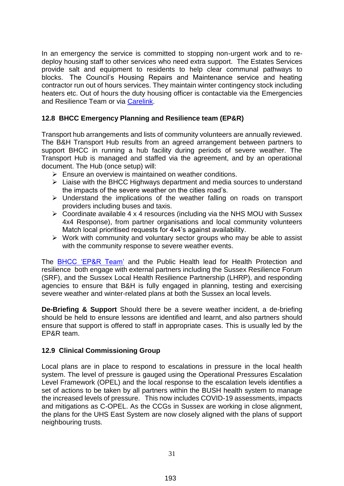In an emergency the service is committed to stopping non-urgent work and to redeploy housing staff to other services who need extra support. The Estates Services provide salt and equipment to residents to help clear communal pathways to blocks. The Council's Housing Repairs and Maintenance service and heating contractor run out of hours services. They maintain winter contingency stock including heaters etc. Out of hours the duty housing officer is contactable via the Emergencies and Resilience Team or via [Carelink.](mailto:Control.Carelink@brighton-hove.gov.uk)

#### <span id="page-30-0"></span>**12.8 BHCC Emergency Planning and Resilience team (EP&R)**

Transport hub arrangements and lists of community volunteers are annually reviewed. The B&H Transport Hub results from an agreed arrangement between partners to support BHCC in running a hub facility during periods of severe weather. The Transport Hub is managed and staffed via the agreement, and by an operational document. The Hub (once setup) will:

- $\triangleright$  Ensure an overview is maintained on weather conditions.
- $\triangleright$  Liaise with the BHCC Highways department and media sources to understand the impacts of the severe weather on the cities road's.
- $\triangleright$  Understand the implications of the weather falling on roads on transport providers including buses and taxis.
- $\triangleright$  Coordinate available 4 x 4 resources (including via the NHS MOU with Sussex 4x4 Response), from partner organisations and local community volunteers Match local prioritised requests for 4x4's against availability.
- $\triangleright$  Work with community and voluntary sector groups who may be able to assist with the community response to severe weather events.

The [BHCC 'EP&R Team'](https://www.brighton-hove.gov.uk/content/a-z/a-z-pages/emergency-planning-service) and the Public Health lead for Health Protection and resilience both engage with external partners including the Sussex Resilience Forum (SRF), and the Sussex Local Health Resilience Partnership (LHRP), and responding agencies to ensure that B&H is fully engaged in planning, testing and exercising severe weather and winter-related plans at both the Sussex an local levels.

**De-Briefing & Support** Should there be a severe weather incident, a de-briefing should be held to ensure lessons are identified and learnt, and also partners should ensure that support is offered to staff in appropriate cases. This is usually led by the EP&R team.

#### <span id="page-30-1"></span>**12.9 Clinical Commissioning Group**

Local plans are in place to respond to escalations in pressure in the local health system. The level of pressure is gauged using the Operational Pressures Escalation Level Framework (OPEL) and the local response to the escalation levels identifies a set of actions to be taken by all partners within the BUSH health system to manage the increased levels of pressure. This now includes COVID-19 assessments, impacts and mitigations as C-OPEL. As the CCGs in Sussex are working in close alignment, the plans for the UHS East System are now closely aligned with the plans of support neighbouring trusts.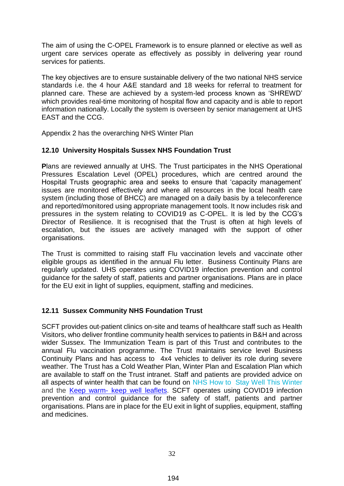The aim of using the C-OPEL Framework is to ensure planned or elective as well as urgent care services operate as effectively as possibly in delivering year round services for patients.

The key objectives are to ensure sustainable delivery of the two national NHS service standards i.e. the 4 hour A&E standard and 18 weeks for referral to treatment for planned care. These are achieved by a system-led process known as 'SHREWD' which provides real-time monitoring of hospital flow and capacity and is able to report information nationally. Locally the system is overseen by senior management at UHS EAST and the CCG.

Appendix 2 has the overarching NHS Winter Plan

#### <span id="page-31-0"></span>**12.10 University Hospitals Sussex NHS Foundation Trust**

**P**lans are reviewed annually at UHS. The Trust participates in the NHS Operational Pressures Escalation Level (OPEL) procedures, which are centred around the Hospital Trusts geographic area and seeks to ensure that 'capacity management' issues are monitored effectively and where all resources in the local health care system (including those of BHCC) are managed on a daily basis by a teleconference and reported/monitored using appropriate management tools. It now includes risk and pressures in the system relating to COVID19 as C-OPEL. It is led by the CCG's Director of Resilience. It is recognised that the Trust is often at high levels of escalation, but the issues are actively managed with the support of other organisations.

The Trust is committed to raising staff Flu vaccination levels and vaccinate other eligible groups as identified in the annual Flu letter. Business Continuity Plans are regularly updated. UHS operates using COVID19 infection prevention and control guidance for the safety of staff, patients and partner organisations. Plans are in place for the EU exit in light of supplies, equipment, staffing and medicines.

#### <span id="page-31-1"></span>**12.11 Sussex Community NHS Foundation Trust**

SCFT provides out-patient clinics on-site and teams of healthcare staff such as Health Visitors, who deliver frontline community health services to patients in B&H and across wider Sussex. The Immunization Team is part of this Trust and contributes to the annual Flu vaccination programme. The Trust maintains service level Business Continuity Plans and has access to 4x4 vehicles to deliver its role during severe weather. The Trust has a Cold Weather Plan, Winter Plan and Escalation Plan which are available to staff on the Trust intranet. Staff and patients are provided advice on all aspects of winter health that can be found on [NHS How to Stay Well This Winter](https://www.nhs.uk/live-well/healthy-body/keep-warm-keep-well/) and the Keep warm- [keep well leaflets.](https://www.gov.uk/government/publications/keep-warm-keep-well-leaflet-gives-advice-on-staying-healthy-in-cold-weather) SCFT operates using COVID19 infection prevention and control guidance for the safety of staff, patients and partner organisations. Plans are in place for the EU exit in light of supplies, equipment, staffing and medicines.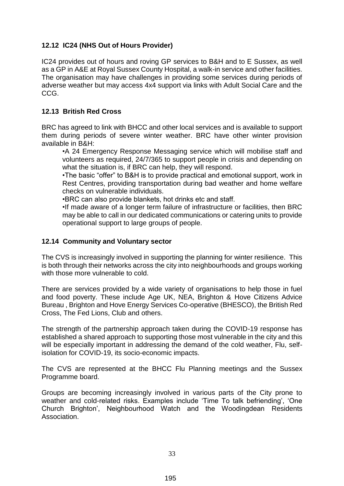#### <span id="page-32-0"></span>**12.12 IC24 (NHS Out of Hours Provider)**

IC24 provides out of hours and roving GP services to B&H and to E Sussex, as well as a GP in A&E at Royal Sussex County Hospital, a walk-in service and other facilities. The organisation may have challenges in providing some services during periods of adverse weather but may access 4x4 support via links with Adult Social Care and the CCG.

#### <span id="page-32-1"></span>**12.13 British Red Cross**

BRC has agreed to link with BHCC and other local services and is available to support them during periods of severe winter weather. BRC have other winter provision available in B&H:

•A 24 Emergency Response Messaging service which will mobilise staff and volunteers as required, 24/7/365 to support people in crisis and depending on what the situation is, if BRC can help, they will respond.

•The basic "offer" to B&H is to provide practical and emotional support, work in Rest Centres, providing transportation during bad weather and home welfare checks on vulnerable individuals.

•BRC can also provide blankets, hot drinks etc and staff.

•If made aware of a longer term failure of infrastructure or facilities, then BRC may be able to call in our dedicated communications or catering units to provide operational support to large groups of people.

#### <span id="page-32-2"></span>**12.14 Community and Voluntary sector**

The CVS is increasingly involved in supporting the planning for winter resilience. This is both through their networks across the city into neighbourhoods and groups working with those more vulnerable to cold.

There are services provided by a wide variety of organisations to help those in fuel and food poverty. These include Age UK, NEA, Brighton & Hove Citizens Advice Bureau , Brighton and Hove Energy Services Co-operative (BHESCO), the British Red Cross, The Fed Lions, Club and others.

The strength of the partnership approach taken during the COVID-19 response has established a shared approach to supporting those most vulnerable in the city and this will be especially important in addressing the demand of the cold weather. Flu, selfisolation for COVID-19, its socio-economic impacts.

The CVS are represented at the BHCC Flu Planning meetings and the Sussex Programme board.

Groups are becoming increasingly involved in various parts of the City prone to weather and cold-related risks. Examples include 'Time To talk befriending', 'One Church Brighton', Neighbourhood Watch and the Woodingdean Residents Association.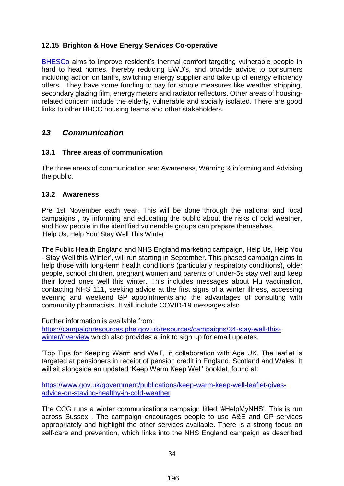#### <span id="page-33-0"></span>**12.15 Brighton & Hove Energy Services Co-operative**

[BHESCo](https://bhesco.co.uk/) aims to improve resident's thermal comfort targeting vulnerable people in hard to heat homes, thereby reducing EWD's, and provide advice to consumers including action on tariffs, switching energy supplier and take up of energy efficiency offers. They have some funding to pay for simple measures like weather stripping, secondary glazing film, energy meters and radiator reflectors. Other areas of housingrelated concern include the elderly, vulnerable and socially isolated. There are good links to other BHCC housing teams and other stakeholders.

#### <span id="page-33-1"></span>*13 Communication*

#### <span id="page-33-2"></span>**13.1 Three areas of communication**

The three areas of communication are: Awareness, Warning & informing and Advising the public.

#### <span id="page-33-3"></span>**13.2 Awareness**

Pre 1st November each year. This will be done through the national and local campaigns , by informing and educating the public about the risks of cold weather, and how people in the identified vulnerable groups can prepare themselves. 'Help Us, Help You' Stay Well This Winter

The Public Health England and NHS England marketing campaign, Help Us, Help You - Stay Well this Winter', will run starting in September. This phased campaign aims to help those with long-term health conditions (particularly respiratory conditions), older people, school children, pregnant women and parents of under-5s stay well and keep their loved ones well this winter. This includes messages about Flu vaccination, contacting NHS 111, seeking advice at the first signs of a winter illness, accessing evening and weekend GP appointments and the advantages of consulting with community pharmacists. It will include COVID-19 messages also.

Further information is available from:

[https://campaignresources.phe.gov.uk/resources/campaigns/34-stay-well-this](https://campaignresources.phe.gov.uk/resources/campaigns/34-stay-well-this-winter/overview)[winter/overview](https://campaignresources.phe.gov.uk/resources/campaigns/34-stay-well-this-winter/overview) which also provides a link to sign up for email updates.

'Top Tips for Keeping Warm and Well', in collaboration with Age UK. The leaflet is targeted at pensioners in receipt of pension credit in England, Scotland and Wales. It will sit alongside an updated 'Keep Warm Keep Well' booklet, found at:

[https://www.gov.uk/government/publications/keep-warm-keep-well-leaflet-gives](https://www.gov.uk/government/publications/keep-warm-keep-well-leaflet-gives-advice-on-staying-healthy-in-cold-weather)[advice-on-staying-healthy-in-cold-weather](https://www.gov.uk/government/publications/keep-warm-keep-well-leaflet-gives-advice-on-staying-healthy-in-cold-weather)

The CCG runs a winter communications campaign titled '#HelpMyNHS'. This is run across Sussex . The campaign encourages people to use A&E and GP services appropriately and highlight the other services available. There is a strong focus on self-care and prevention, which links into the NHS England campaign as described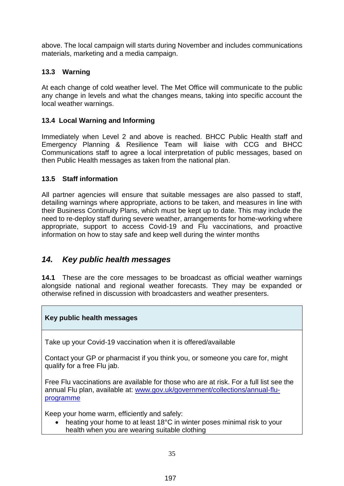above. The local campaign will starts during November and includes communications materials, marketing and a media campaign.

#### <span id="page-34-0"></span>**13.3 Warning**

At each change of cold weather level. The Met Office will communicate to the public any change in levels and what the changes means, taking into specific account the local weather warnings.

#### <span id="page-34-1"></span>**13.4 Local Warning and Informing**

Immediately when Level 2 and above is reached. BHCC Public Health staff and Emergency Planning & Resilience Team will liaise with CCG and BHCC Communications staff to agree a local interpretation of public messages, based on then Public Health messages as taken from the national plan.

#### <span id="page-34-2"></span>**13.5 Staff information**

All partner agencies will ensure that suitable messages are also passed to staff, detailing warnings where appropriate, actions to be taken, and measures in line with their Business Continuity Plans, which must be kept up to date. This may include the need to re-deploy staff during severe weather, arrangements for home-working where appropriate, support to access Covid-19 and Flu vaccinations, and proactive information on how to stay safe and keep well during the winter months

#### <span id="page-34-3"></span>*14. Key public health messages*

**14.1** These are the core messages to be broadcast as official weather warnings alongside national and regional weather forecasts. They may be expanded or otherwise refined in discussion with broadcasters and weather presenters.

#### **Key public health messages**

Take up your Covid-19 vaccination when it is offered/available

Contact your GP or pharmacist if you think you, or someone you care for, might qualify for a free Flu jab.

Free Flu vaccinations are available for those who are at risk. For a full list see the annual Flu plan, available at: [www.gov.uk/government/collections/annual-flu](http://www.gov.uk/government/collections/annual-flu-programme)[programme](http://www.gov.uk/government/collections/annual-flu-programme)

Keep your home warm, efficiently and safely:

• heating your home to at least 18°C in winter poses minimal risk to your health when you are wearing suitable clothing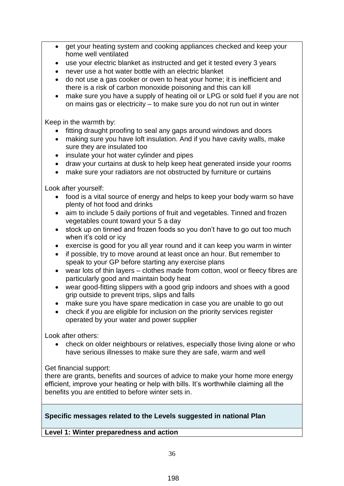- get your heating system and cooking appliances checked and keep your home well ventilated
- use your electric blanket as instructed and get it tested every 3 years
- never use a hot water bottle with an electric blanket
- do not use a gas cooker or oven to heat your home; it is inefficient and there is a risk of carbon monoxide poisoning and this can kill
- make sure you have a supply of heating oil or LPG or sold fuel if you are not on mains gas or electricity – to make sure you do not run out in winter

Keep in the warmth by:

- fitting draught proofing to seal any gaps around windows and doors
- making sure you have loft insulation. And if you have cavity walls, make sure they are insulated too
- insulate your hot water cylinder and pipes
- draw your curtains at dusk to help keep heat generated inside your rooms
- make sure your radiators are not obstructed by furniture or curtains

Look after yourself:

- food is a vital source of energy and helps to keep your body warm so have plenty of hot food and drinks
- aim to include 5 daily portions of fruit and vegetables. Tinned and frozen vegetables count toward your 5 a day
- stock up on tinned and frozen foods so you don't have to go out too much when it's cold or icy
- exercise is good for you all year round and it can keep you warm in winter
- if possible, try to move around at least once an hour. But remember to speak to your GP before starting any exercise plans
- wear lots of thin layers clothes made from cotton, wool or fleecy fibres are particularly good and maintain body heat
- wear good-fitting slippers with a good grip indoors and shoes with a good grip outside to prevent trips, slips and falls
- make sure you have spare medication in case you are unable to go out
- check if you are eligible for inclusion on the priority services register operated by your water and power supplier

Look after others:

 check on older neighbours or relatives, especially those living alone or who have serious illnesses to make sure they are safe, warm and well

Get financial support:

there are grants, benefits and sources of advice to make your home more energy efficient, improve your heating or help with bills. It's worthwhile claiming all the benefits you are entitled to before winter sets in.

#### **Specific messages related to the Levels suggested in national Plan**

**Level 1: Winter preparedness and action**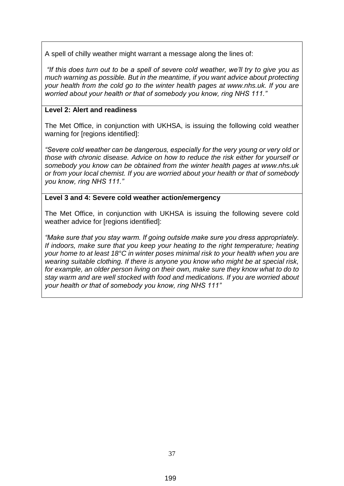A spell of chilly weather might warrant a message along the lines of:

*"If this does turn out to be a spell of severe cold weather, we'll try to give you as much warning as possible. But in the meantime, if you want advice about protecting your health from the cold go to the winter health pages at www.nhs.uk. If you are worried about your health or that of somebody you know, ring NHS 111."*

#### **Level 2: Alert and readiness**

The Met Office, in conjunction with UKHSA, is issuing the following cold weather warning for [regions identified]:

*"Severe cold weather can be dangerous, especially for the very young or very old or those with chronic disease. Advice on how to reduce the risk either for yourself or somebody you know can be obtained from the winter health pages at www.nhs.uk or from your local chemist. If you are worried about your health or that of somebody you know, ring NHS 111."* 

#### **Level 3 and 4: Severe cold weather action/emergency**

The Met Office, in conjunction with UKHSA is issuing the following severe cold weather advice for [regions identified]:

*"Make sure that you stay warm. If going outside make sure you dress appropriately. If indoors, make sure that you keep your heating to the right temperature; heating your home to at least 18°C in winter poses minimal risk to your health when you are wearing suitable clothing. If there is anyone you know who might be at special risk,*  for example, an older person living on their own, make sure they know what to do to *stay warm and are well stocked with food and medications. If you are worried about your health or that of somebody you know, ring NHS 111"*